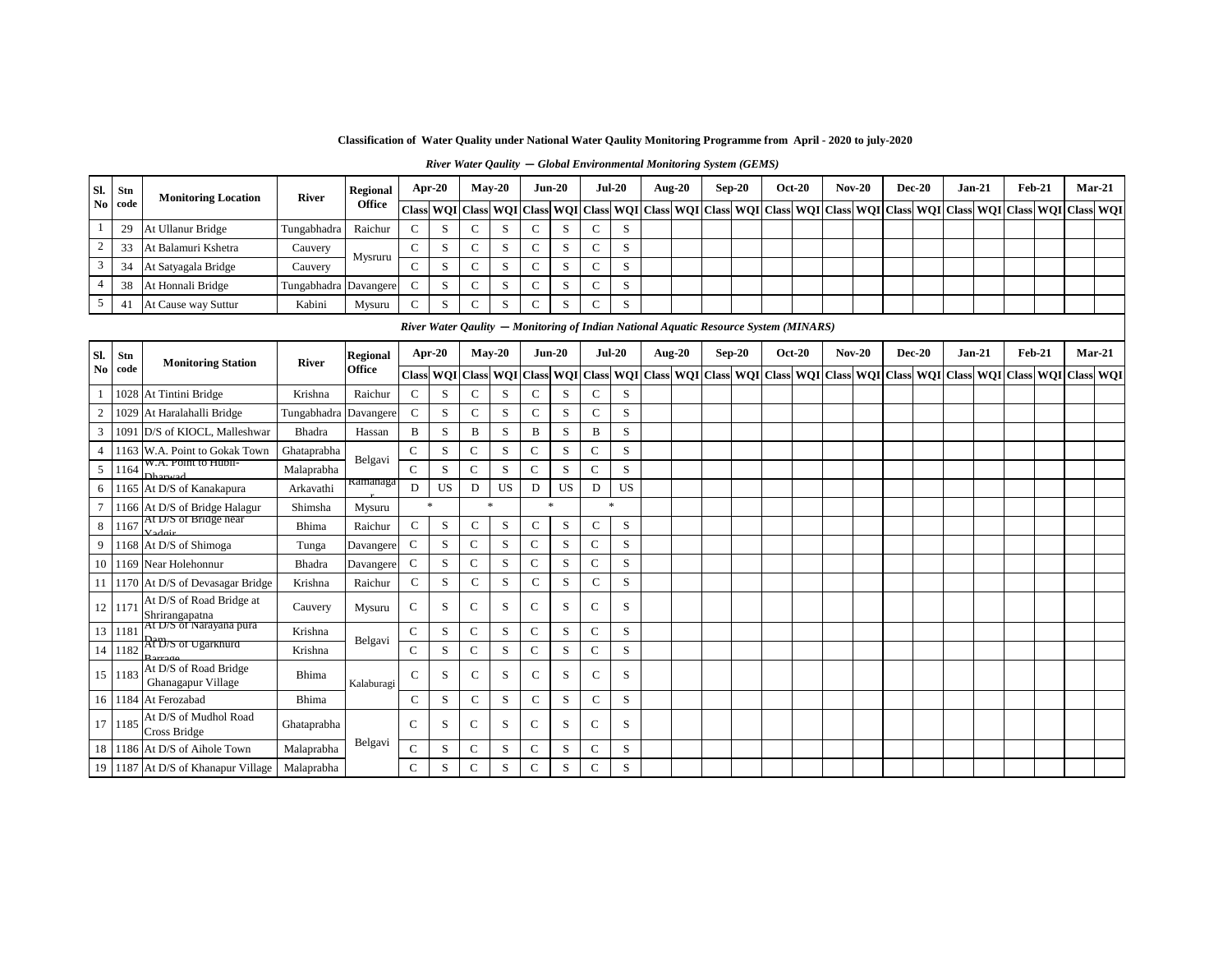**Classification of Water Quality under National Water Qaulity Monitoring Programme from April - 2020 to july-2020**

*River Water Qaulity* **—** *Global Environmental Monitoring System (GEMS)* 

| Sl.            | Stn         | <b>Monitoring Location</b>                  | River        | Regional        | Apr-20                                                                               |           |                | $May-20$    |              | $Jun-20$    | $Jul-20$      |           | <b>Aug-20</b> | $\rm Sep\text{-}20$ | <b>Oct-20</b>                           |              | $Nov-20$ | <b>Dec-20</b> | $Jan-21$                      |  | <b>Feb-21</b>                               | $Mar-21$         |
|----------------|-------------|---------------------------------------------|--------------|-----------------|--------------------------------------------------------------------------------------|-----------|----------------|-------------|--------------|-------------|---------------|-----------|---------------|---------------------|-----------------------------------------|--------------|----------|---------------|-------------------------------|--|---------------------------------------------|------------------|
| N <sub>0</sub> | code        |                                             |              | <b>Office</b>   | <b>Class</b>                                                                         |           | WQI Class WQI  |             | <b>Class</b> | <b>WQI</b>  | <b>Class</b>  |           |               |                     | WQI Class WQI Class WQI Class WQI Class |              |          |               | WQI Class WQI Class WQI Class |  | <b>WQI</b>                                  | <b>Class WQI</b> |
| 1              | 29          | At Ullanur Bridge                           | Tungabhadra  | Raichur         | $\mathbf C$                                                                          | S         | $\mathsf{C}$   | S           | $\mathsf{C}$ | S           | C             | S         |               |                     |                                         |              |          |               |                               |  |                                             |                  |
| $\overline{c}$ | 33          | At Balamuri Kshetra                         | Cauvery      |                 | $\mathbf C$                                                                          | S         | $\mathbf C$    | S           | $\mathsf{C}$ | S           | $\mathsf{C}$  | S         |               |                     |                                         |              |          |               |                               |  |                                             |                  |
| $\mathfrak{Z}$ | 34          | At Satyagala Bridge                         | Cauvery      | Mysruru         | $\mathcal{C}$                                                                        | S         | C              | S           | $\mathsf{C}$ | S           | $\mathsf{C}$  | S         |               |                     |                                         |              |          |               |                               |  |                                             |                  |
| 4              | 38          | At Honnali Bridge                           | Tungabhadra  | Davangere       | $\mathbf C$                                                                          | S         | $\mathbf C$    | S           | $\mathsf{C}$ | S           | C             | S         |               |                     |                                         |              |          |               |                               |  |                                             |                  |
| 5              | 41          | At Cause way Suttur                         | Kabini       | Mysuru          | $\mathbf C$                                                                          | S         | $\mathbf C$    | S           | $\mathsf{C}$ | S           | $\mathsf{C}$  | S         |               |                     |                                         |              |          |               |                               |  |                                             |                  |
|                |             |                                             |              |                 | River Water Qaulity - Monitoring of Indian National Aquatic Resource System (MINARS) |           |                |             |              |             |               |           |               |                     |                                         |              |          |               |                               |  |                                             |                  |
| SI.            |             |                                             |              | <b>Regional</b> | Apr-20                                                                               |           |                | $May-20$    |              | $Jun-20$    |               | $Jul-20$  | <b>Aug-20</b> | $Sep-20$            | <b>Oct-20</b>                           |              | $Nov-20$ | <b>Dec-20</b> | $Jan-21$                      |  | <b>Feb-21</b>                               | $Mar-21$         |
| No             | Stn<br>code | <b>Monitoring Station</b>                   | <b>River</b> | Office          |                                                                                      | Class WQI | Class WQI      |             | <b>Class</b> | <b>WOI</b>  | <b>Class</b>  |           |               |                     | WOI Class WOI Class WOI Class WOI       | <b>Class</b> |          |               |                               |  | WOI Class WOI Class WOI Class WOI Class WOI |                  |
| 1              |             | 1028 At Tintini Bridge                      | Krishna      | Raichur         | $\mathbf C$                                                                          | S         | C              | S           | $\mathsf{C}$ | S           | $\mathsf{C}$  | S         |               |                     |                                         |              |          |               |                               |  |                                             |                  |
| $\overline{c}$ |             | 1029 At Haralahalli Bridge                  | Tungabhadra  | Davangere       | $\mathbf C$                                                                          | S         | $\mathbf C$    | S           | $\mathsf{C}$ | S           | $\mathbf C$   | S         |               |                     |                                         |              |          |               |                               |  |                                             |                  |
| 3              | 1091        | D/S of KIOCL, Malleshwar                    | Bhadra       | Hassan          | B                                                                                    | S         | B              | S           | B            | S           | B             | S         |               |                     |                                         |              |          |               |                               |  |                                             |                  |
| $\overline{4}$ | 116         | W.A. Point to Gokak Town                    | Ghataprabha  |                 | $\mathsf{C}$                                                                         | S         | C              | ${\bf S}$   | $\mathsf{C}$ | S           | $\mathbf C$   | S         |               |                     |                                         |              |          |               |                               |  |                                             |                  |
| $\sqrt{5}$     | 1164        | W.A. Point to Hubli-<br>Dharwad             | Malaprabha   | Belgavi         | $\mathbf C$                                                                          | S         | $\mathsf{C}$   | S           | $\mathsf{C}$ | S           | $\mathsf{C}$  | S         |               |                     |                                         |              |          |               |                               |  |                                             |                  |
| 6              |             | 1165 At D/S of Kanakapura                   | Arkavathi    | Ramanaga        | D                                                                                    | US        | D              | <b>US</b>   | $\mathbf D$  | US          | D             | <b>US</b> |               |                     |                                         |              |          |               |                               |  |                                             |                  |
|                |             | 1166 At D/S of Bridge Halagur               | Shimsha      | Mysuru          | $\ast$                                                                               |           |                | $\ast$      |              | *           | $\mathbf{z}$  |           |               |                     |                                         |              |          |               |                               |  |                                             |                  |
| 8              | 1167        | At D/S of Bridge near<br>Vadoir             | Bhima        | Raichur         | $\mathbf C$                                                                          | S         | $\mathsf{C}$   | $\mathbf S$ | $\mathbf C$  | S           | $\mathcal{C}$ | S         |               |                     |                                         |              |          |               |                               |  |                                             |                  |
| 9              |             | 1168 At D/S of Shimoga                      | Tunga        | Davangere       | $\mathsf{C}$                                                                         | S         | $\mathbf C$    | S           | $\mathsf{C}$ | S           | $\mathsf{C}$  | S         |               |                     |                                         |              |          |               |                               |  |                                             |                  |
| 10             |             | 1169 Near Holehonnur                        | Bhadra       | Davangere       | $\mathsf{C}$                                                                         | S         | $\mathsf{C}$   | S           | $\mathsf{C}$ | S           | $\mathsf{C}$  | S         |               |                     |                                         |              |          |               |                               |  |                                             |                  |
| 11             |             | 1170 At D/S of Devasagar Bridge             | Krishna      | Raichur         | $\mathbf C$                                                                          | S         | $\mathbf C$    | $\mathbf S$ | $\mathsf{C}$ | S           | $\mathsf{C}$  | S         |               |                     |                                         |              |          |               |                               |  |                                             |                  |
|                | 12 117      | At D/S of Road Bridge at<br>Shrirangapatna  | Cauvery      | Mysuru          | $\mathsf{C}$                                                                         | S         | $\mathsf{C}$   | S           | $\mathsf{C}$ | S           | C             | S         |               |                     |                                         |              |          |               |                               |  |                                             |                  |
| 13             | 1181        | At D/S of Narayana pura                     | Krishna      |                 | $\mathsf{C}$                                                                         | S         | $\mathsf{C}$   | S           | $\mathsf{C}$ | S           | $\mathsf{C}$  | S         |               |                     |                                         |              |          |               |                               |  |                                             |                  |
| 14             | 1182        | <b>Rt</b> D/S of Ugarkhurd                  | Krishna      | Belgavi         | $\mathbf C$                                                                          | S         | $\mathbf C$    | S           | $\mathsf{C}$ | S           | $\mathsf{C}$  | S         |               |                     |                                         |              |          |               |                               |  |                                             |                  |
|                | 15 1183     | At D/S of Road Bridge<br>Ghanagapur Village | Bhima        | Kalaburagi      | $\mathbf C$                                                                          | S         | $\mathsf{C}$   | S           | $\mathbf C$  | S           | $\mathsf{C}$  | S         |               |                     |                                         |              |          |               |                               |  |                                             |                  |
| 16             |             | 1184 At Ferozabad                           | Bhima        |                 | $\mathbf C$                                                                          | S         | $\mathbf C$    | $\mathbf S$ | $\mathbf C$  | $\mathbf S$ | $\mathbf C$   | S         |               |                     |                                         |              |          |               |                               |  |                                             |                  |
|                | 17 1185     | At D/S of Mudhol Road<br>Cross Bridge       | Ghataprabha  |                 | $\mathbf C$                                                                          | S         | C              | S           | $\mathsf{C}$ | S           | C             | S         |               |                     |                                         |              |          |               |                               |  |                                             |                  |
| 18             |             | 1186 At D/S of Aihole Town                  | Malaprabha   | Belgavi         | $\mathsf{C}$                                                                         | S         | $\mathsf{C}$   | S           | $\mathsf{C}$ | S           | $\mathsf{C}$  | S         |               |                     |                                         |              |          |               |                               |  |                                             |                  |
|                |             | 19 1187 At D/S of Khanapur Village          | Malaprabha   |                 | $\mathbf C$                                                                          | S         | $\overline{C}$ | S           | ${\bf C}$    | S           | $\mathsf{C}$  | S         |               |                     |                                         |              |          |               |                               |  |                                             |                  |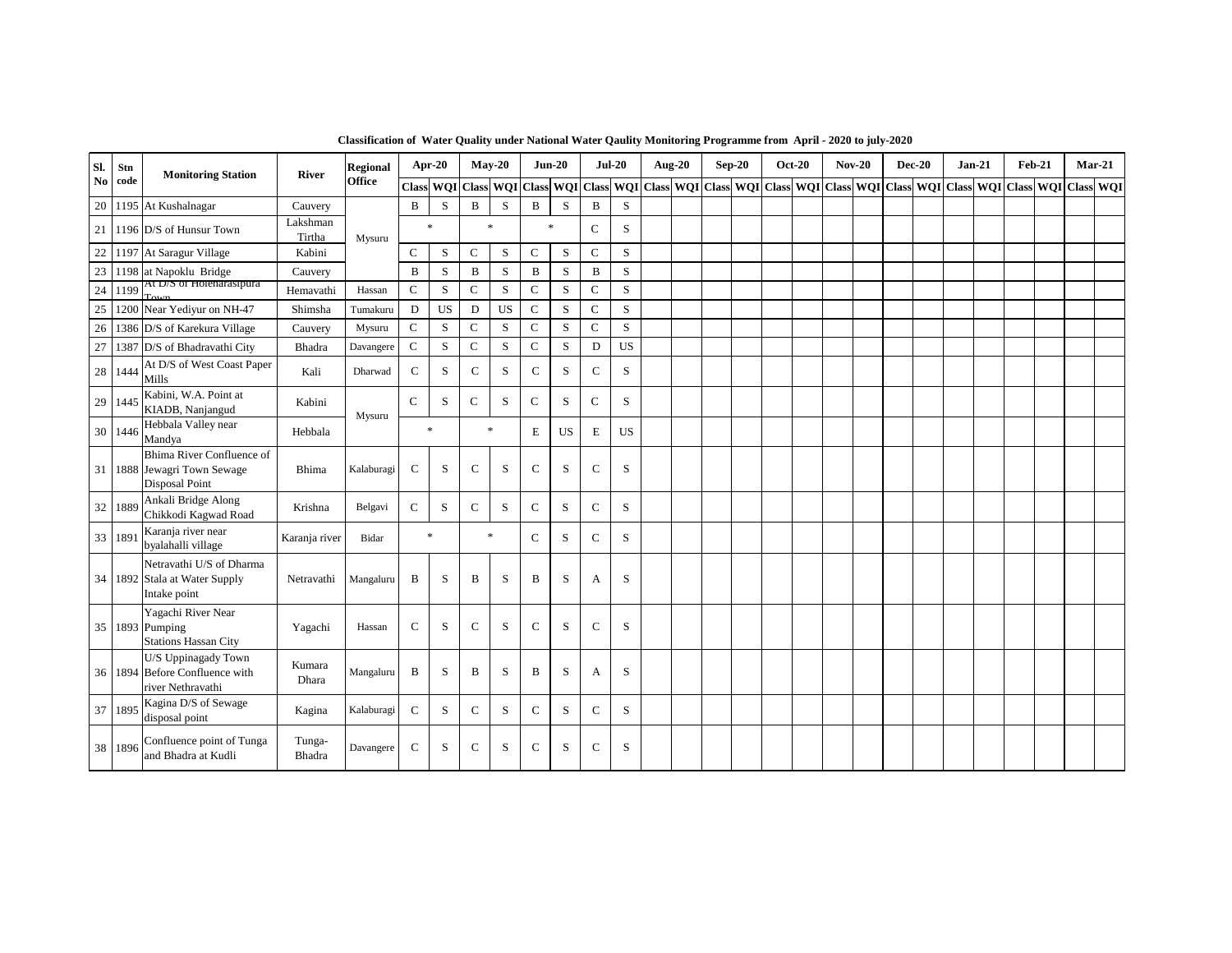| SI.    | Stn     | <b>Monitoring Station</b>                                                      | River              | <b>Regional</b> | Apr-20        |             |                     | $May-20$  |              | $Jun-20$                   |              | $Jul-20$  | <b>Aug-20</b> | $Sep-20$ | <b>Oct-20</b>                                     | <b>Nov-20</b> | <b>Dec-20</b> | $Jan-21$                                              | $Feb-21$ |  | $Mar-21$ |
|--------|---------|--------------------------------------------------------------------------------|--------------------|-----------------|---------------|-------------|---------------------|-----------|--------------|----------------------------|--------------|-----------|---------------|----------|---------------------------------------------------|---------------|---------------|-------------------------------------------------------|----------|--|----------|
| No.    | code    |                                                                                |                    | <b>Office</b>   |               |             | Class WQI Class WQI |           |              | Class WQI                  |              |           |               |          | Class WQI Class WQI Class WQI Class WQI Class WQI |               |               | Class   WOI   Class   WOI   Class   WOI   Class   WOI |          |  |          |
| 20     |         | 1195 At Kushalnagar                                                            | Cauvery            |                 | B             | S           | $\mathbf{B}$        | S         | B            | S                          | $\mathbf{B}$ | S         |               |          |                                                   |               |               |                                                       |          |  |          |
| 21     |         | 1196 D/S of Hunsur Town                                                        | Lakshman<br>Tirtha | Mysuru          |               | $\ast$      | $\ast$              |           |              | $\ast$                     | $\mathsf{C}$ | S         |               |          |                                                   |               |               |                                                       |          |  |          |
| 22     |         | 1197 At Saragur Village                                                        | Kabini             |                 | $\mathcal{C}$ | S           | $\mathsf{C}$        | S         | $\mathbf C$  | S                          | $\mathbf C$  | S         |               |          |                                                   |               |               |                                                       |          |  |          |
| 23     |         | 1198 at Napoklu Bridge                                                         | Cauvery            |                 | $\, {\bf B}$  | S           | $\, {\bf B}$        | S         | B            | S                          | $\mathbf B$  | ${\bf S}$ |               |          |                                                   |               |               |                                                       |          |  |          |
| 24     | 1199    | At D/S of Holenarasipura                                                       | Hemavathi          | Hassan          | ${\bf C}$     | S           | $\mathsf{C}$        | S         | $\mathsf C$  | S                          | $\mathbf C$  | S         |               |          |                                                   |               |               |                                                       |          |  |          |
| 25     | 1200    | Near Yediyur on NH-47                                                          | Shimsha            | Tumakuru        | D             | <b>US</b>   | D                   | <b>US</b> | $\mathsf{C}$ | S                          | $\mathsf C$  | S         |               |          |                                                   |               |               |                                                       |          |  |          |
| 26     |         | 1386 D/S of Karekura Village                                                   | Cauvery            | Mysuru          | $\mathbf C$   | S           | $\mathsf{C}$        | S         | $\mathbf C$  | S                          | $\mathbf C$  | S         |               |          |                                                   |               |               |                                                       |          |  |          |
| $27\,$ |         | 1387 D/S of Bhadravathi City                                                   | Bhadra             | Davangere       | $\mathbf C$   | $\mathbf S$ | $\mathsf{C}$        | S         | $\mathbf C$  | S                          | D            | <b>US</b> |               |          |                                                   |               |               |                                                       |          |  |          |
| 28     | 1444    | At D/S of West Coast Paper<br>Mills                                            | Kali               | Dharwad         | $\mathsf{C}$  | S           | $\mathsf{C}$        | S         | $\mathsf C$  | S                          | $\mathsf{C}$ | S         |               |          |                                                   |               |               |                                                       |          |  |          |
| 29     | 1445    | Kabini, W.A. Point at<br>KIADB, Nanjangud                                      | Kabini             |                 | $\mathsf{C}$  | S           | $\mathsf{C}$        | S         | ${\bf C}$    | $\boldsymbol{\mathcal{S}}$ | ${\bf C}$    | S         |               |          |                                                   |               |               |                                                       |          |  |          |
| 30     | 1446    | Hebbala Valley near<br>Mandya                                                  | Hebbala            | Mysuru          |               | $\ast$      | $\ast$              |           | E            | US                         | E            | <b>US</b> |               |          |                                                   |               |               |                                                       |          |  |          |
| 31     |         | Bhima River Confluence of<br>1888 Jewagri Town Sewage<br><b>Disposal Point</b> | Bhima              | Kalaburagi      | $\mathsf{C}$  | S           | $\mathsf{C}$        | S         | $\mathbf C$  | S                          | $\mathsf{C}$ | S         |               |          |                                                   |               |               |                                                       |          |  |          |
| 32     | 1889    | Ankali Bridge Along<br>Chikkodi Kagwad Road                                    | Krishna            | Belgavi         | $\mathsf{C}$  | S           | $\mathsf{C}$        | S         | $\mathsf{C}$ | S                          | $\mathsf{C}$ | S         |               |          |                                                   |               |               |                                                       |          |  |          |
| 33     | 1891    | Karanja river near<br>byalahalli village                                       | Karanja river      | Bidar           |               | $\ast$      |                     | $\ast$    | $\mathsf{C}$ | S                          | $\mathsf{C}$ | S         |               |          |                                                   |               |               |                                                       |          |  |          |
|        |         | Netravathi U/S of Dharma<br>34 1892 Stala at Water Supply<br>Intake point      | Netravathi         | Mangaluru       | B             | S           | B                   | S         | B            | S                          | A            | S         |               |          |                                                   |               |               |                                                       |          |  |          |
|        |         | Yagachi River Near<br>35 1893 Pumping<br><b>Stations Hassan City</b>           | Yagachi            | Hassan          | $\mathsf{C}$  | S           | $\mathsf{C}$        | S         | $\mathsf C$  | S                          | $\mathsf{C}$ | S         |               |          |                                                   |               |               |                                                       |          |  |          |
| 36     |         | U/S Uppinagady Town<br>1894 Before Confluence with<br>river Nethravathi        | Kumara<br>Dhara    | Mangaluru       | B             | S           | B                   | S         | B            | S                          | $\mathbf{A}$ | S         |               |          |                                                   |               |               |                                                       |          |  |          |
| 37     | 1895    | Kagina D/S of Sewage<br>disposal point                                         | Kagina             | Kalaburagi      | $\mathbf C$   | S           | $\mathsf{C}$        | S         | $\mathbf C$  | S                          | $\mathsf{C}$ | S         |               |          |                                                   |               |               |                                                       |          |  |          |
|        | 38 1896 | Confluence point of Tunga<br>and Bhadra at Kudli                               | Tunga-<br>Bhadra   | Davangere       | $\mathsf{C}$  | S           | $\mathcal{C}$       | S         | $\mathsf C$  | S                          | $\mathsf{C}$ | S         |               |          |                                                   |               |               |                                                       |          |  |          |

**Classification of Water Quality under National Water Qaulity Monitoring Programme from April - 2020 to july-2020**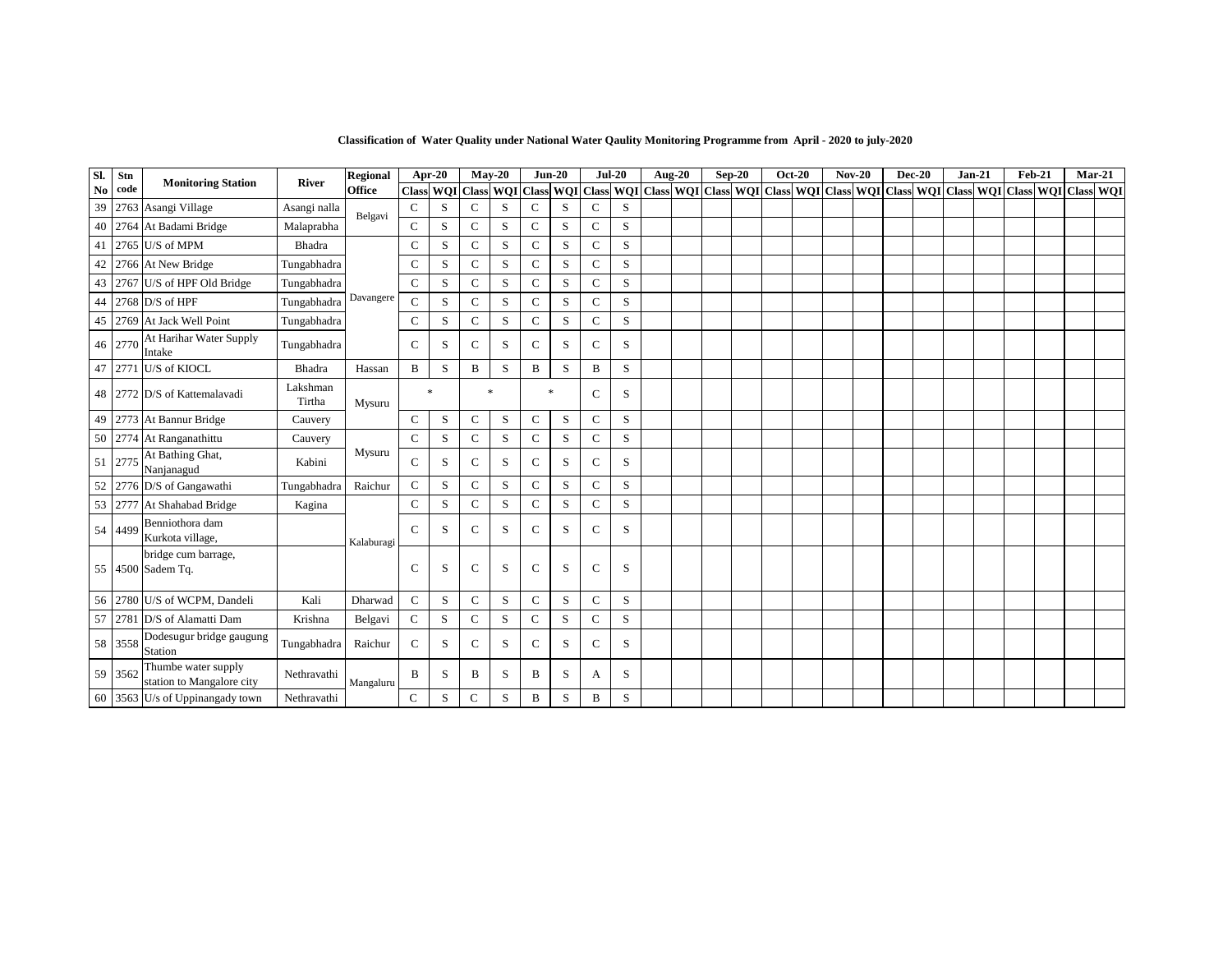| Sl. | Stn     | <b>Monitoring Station</b>                        | <b>River</b>       | Regional      |               | Apr-20                                                                                                                                                                                                                       |               | $Mav-20$    |              | $Jun-20$     |              | $Jul-20$ | <b>Aug-20</b> | $Sep-20$ | <b>Oct-20</b> | $Nov-20$ | <b>Dec-20</b> | $Jan-21$ | Feb-21 | $Mar-21$ |  |
|-----|---------|--------------------------------------------------|--------------------|---------------|---------------|------------------------------------------------------------------------------------------------------------------------------------------------------------------------------------------------------------------------------|---------------|-------------|--------------|--------------|--------------|----------|---------------|----------|---------------|----------|---------------|----------|--------|----------|--|
| No. | code    |                                                  |                    | <b>Office</b> |               | Class   WQI   Class   WQI   Class   WQI   Class   WQI   Class   WQI   Class   WQI   Class   WQI   Class   WQI   Class   WQI   Class   WQI   Class   WQI   Class   WQI   Class   WQI   Class   WQI   Class   WQI   Class   WQ |               |             |              |              |              |          |               |          |               |          |               |          |        |          |  |
| 39  |         | 2763 Asangi Village                              | Asangi nalla       | Belgavi       | $\mathsf{C}$  | S                                                                                                                                                                                                                            | $\mathsf{C}$  | S           | $\mathsf{C}$ | S            | $\mathbf C$  | S        |               |          |               |          |               |          |        |          |  |
|     |         | 40 2764 At Badami Bridge                         | Malaprabha         |               | $\mathsf{C}$  | S                                                                                                                                                                                                                            | $\mathsf{C}$  | S           | $\mathsf{C}$ | S            | $\mathbf C$  | S        |               |          |               |          |               |          |        |          |  |
| 41  |         | 2765 U/S of MPM                                  | Bhadra             |               | $\mathsf{C}$  | S                                                                                                                                                                                                                            | $\mathsf{C}$  | S           | $\mathsf{C}$ | S            | $\mathbf C$  | S        |               |          |               |          |               |          |        |          |  |
| 42  |         | 2766 At New Bridge                               | Tungabhadra        |               | $\mathbf C$   | S                                                                                                                                                                                                                            | $\mathsf{C}$  | S           | $\mathbf C$  | $\,$ S       | $\mathbf C$  | S        |               |          |               |          |               |          |        |          |  |
|     | 43 2767 | U/S of HPF Old Bridge                            | Tungabhadra        |               | $\mathbf C$   | S                                                                                                                                                                                                                            | $\mathbf C$   | S           | $\mathbf C$  | S            | $\mathsf{C}$ | S        |               |          |               |          |               |          |        |          |  |
| 44  |         | $2768$ D/S of HPF                                | Tungabhadra        | Davangere     | $\mathbf C$   | S                                                                                                                                                                                                                            | $\mathsf{C}$  | S           | $\mathbf C$  | S            | $\mathsf{C}$ | S        |               |          |               |          |               |          |        |          |  |
|     |         | 45 2769 At Jack Well Point                       | Tungabhadra        |               | $\mathbf C$   | S                                                                                                                                                                                                                            | $\mathsf{C}$  | S           | $\mathbf C$  | S            | $\mathbf C$  | S        |               |          |               |          |               |          |        |          |  |
|     | 46 2770 | At Harihar Water Supply<br>Intake                | Tungabhadra        |               | $\mathcal{C}$ | S                                                                                                                                                                                                                            | $\mathbf C$   | S           | $\mathsf{C}$ | S            | C            | S        |               |          |               |          |               |          |        |          |  |
|     | 47 2771 | U/S of KIOCL                                     | Bhadra             | Hassan        | $\, {\bf B}$  | S                                                                                                                                                                                                                            | B             | $\mathbf S$ | B            | S            | B            | S        |               |          |               |          |               |          |        |          |  |
|     |         | 48 2772 D/S of Kattemalavadi                     | Lakshman<br>Tirtha | Mysuru        |               | $\frac{1}{25}$                                                                                                                                                                                                               |               | $\ast$      |              | $\mathbf{x}$ | $\mathsf{C}$ | S        |               |          |               |          |               |          |        |          |  |
| 49  |         | 2773 At Bannur Bridge                            | Cauvery            |               | $\mathsf{C}$  | S                                                                                                                                                                                                                            | C             | S           | $\mathsf{C}$ | S            | $\mathsf{C}$ | S        |               |          |               |          |               |          |        |          |  |
|     |         | 50 2774 At Ranganathittu                         | Cauvery            |               | $\mathbf C$   | S                                                                                                                                                                                                                            | ${\bf C}$     | S           | $\mathbf C$  | S            | $\mathsf{C}$ | S        |               |          |               |          |               |          |        |          |  |
| 51  | 2775    | At Bathing Ghat,<br>Nanjanagud                   | Kabini             | Mysuru        | $\mathsf{C}$  | S                                                                                                                                                                                                                            | $\mathcal{C}$ | S           | $\mathsf{C}$ | S            | $\mathsf{C}$ | S        |               |          |               |          |               |          |        |          |  |
| 52  |         | 2776 D/S of Gangawathi                           | Tungabhadra        | Raichur       | $\mathbf C$   | S                                                                                                                                                                                                                            | C             | S           | $\mathsf C$  | S            | $\mathsf{C}$ | S        |               |          |               |          |               |          |        |          |  |
|     | 53 2777 | At Shahabad Bridge                               | Kagina             |               | $\mathbf C$   | S                                                                                                                                                                                                                            | $\mathsf{C}$  | S           | $\mathbf C$  | $\,$ S       | $\mathbf C$  | S        |               |          |               |          |               |          |        |          |  |
|     | 54 4499 | Benniothora dam<br>Kurkota village,              |                    | Kalaburagi    | $\mathsf{C}$  | S                                                                                                                                                                                                                            | $\mathsf{C}$  | S           | $\mathsf{C}$ | S            | $\mathsf{C}$ | S        |               |          |               |          |               |          |        |          |  |
|     |         | bridge cum barrage,<br>55 4500 Sadem Tq.         |                    |               | $\mathsf{C}$  | S                                                                                                                                                                                                                            | $\mathbf C$   | S           | $\mathsf{C}$ | S            | $\mathsf{C}$ | S        |               |          |               |          |               |          |        |          |  |
| 56  |         | 2780 U/S of WCPM, Dandeli                        | Kali               | Dharwad       | $\mathbf C$   | S                                                                                                                                                                                                                            | $\mathsf{C}$  | S           | $\mathsf C$  | $\,$ S       | $\mathsf{C}$ | S        |               |          |               |          |               |          |        |          |  |
|     | 57 2781 | D/S of Alamatti Dam                              | Krishna            | Belgavi       | ${\bf C}$     | S                                                                                                                                                                                                                            | $\mathsf{C}$  | S           | $\mathsf{C}$ | S            | $\mathbf C$  | S        |               |          |               |          |               |          |        |          |  |
|     | 58 3558 | Dodesugur bridge gaugung<br>Station              | Tungabhadra        | Raichur       | $\mathcal{C}$ | S                                                                                                                                                                                                                            | $\mathbf C$   | S           | $\mathsf{C}$ | S            | C            | S        |               |          |               |          |               |          |        |          |  |
|     | 59 3562 | Thumbe water supply<br>station to Mangalore city | Nethravathi        | Mangaluru     | B             | S                                                                                                                                                                                                                            | B             | S           | B            | S            | A            | S        |               |          |               |          |               |          |        |          |  |
|     |         | 60 3563 U/s of Uppinangady town                  | Nethravathi        |               | $\mathbf C$   | ${\bf S}$                                                                                                                                                                                                                    | $\mathsf{C}$  | S           | B            | $\mathbf S$  | B            | S        |               |          |               |          |               |          |        |          |  |

**Classification of Water Quality under National Water Qaulity Monitoring Programme from April - 2020 to july-2020**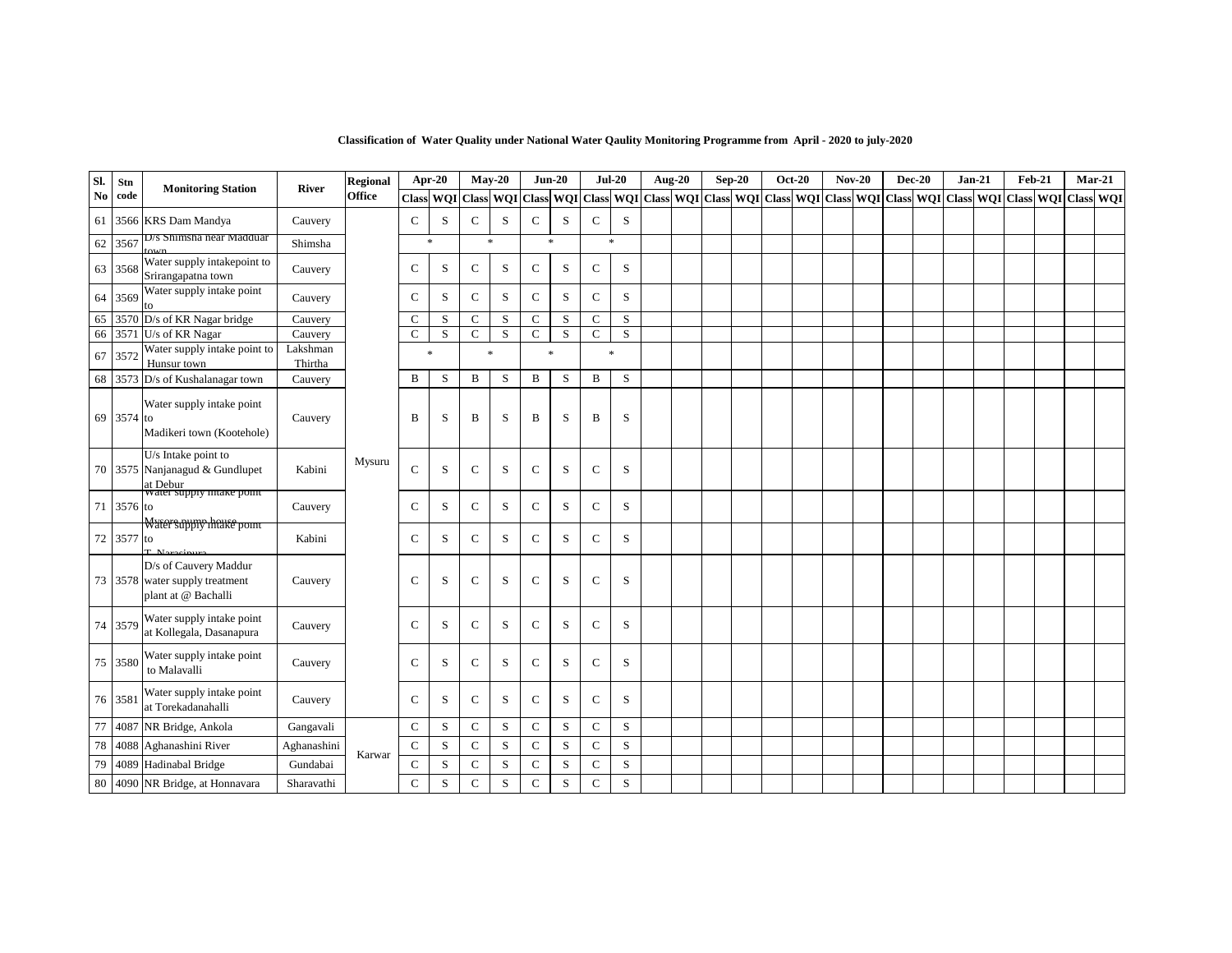| Sl. | Stn        | <b>Monitoring Station</b>                                                      |                     | <b>Regional</b> | Apr-20        |           |              | $May-20$ |              | $Jun-20$                   |                                                                                                                                                                                                                               | $Jul-20$    | <b>Aug-20</b> | $Sep-20$ | <b>Oct-20</b> | $Nov-20$ |  | $Dec-20$ | $Jan-21$ | <b>Feb-21</b> |  | $Mar-21$ |
|-----|------------|--------------------------------------------------------------------------------|---------------------|-----------------|---------------|-----------|--------------|----------|--------------|----------------------------|-------------------------------------------------------------------------------------------------------------------------------------------------------------------------------------------------------------------------------|-------------|---------------|----------|---------------|----------|--|----------|----------|---------------|--|----------|
| No  | code       |                                                                                | <b>River</b>        | <b>Office</b>   |               |           |              |          |              |                            | Class   WQI   Class   WQI   Class   WQI   Class   WQI   Class   WQI   Class   WQI   Class   WQI   Class   WQI   Class   WQI   Class   WQI   Class   WQI   Class   WQI   Class   WQI   Class   WQI   Class   WQI   Class   WQI |             |               |          |               |          |  |          |          |               |  |          |
| 61  |            | 3566 KRS Dam Mandya                                                            | Cauvery             |                 | $\mathsf{C}$  | S         | ${\bf C}$    | S        | $\mathsf{C}$ | S                          | $\mathbf C$                                                                                                                                                                                                                   | S           |               |          |               |          |  |          |          |               |  |          |
| 62  | 3567       | D/s Shimsha near Madduar                                                       | Shimsha             |                 |               | $\gg$     |              | $\ast$   |              | $\ast$                     |                                                                                                                                                                                                                               | ×           |               |          |               |          |  |          |          |               |  |          |
| 63  | 3568       | Water supply intakepoint to<br>Srirangapatna town                              | Cauvery             |                 | $\mathsf{C}$  | S         | $\mathsf{C}$ | S        | $\mathsf{C}$ | S                          | $\mathsf{C}$                                                                                                                                                                                                                  | S           |               |          |               |          |  |          |          |               |  |          |
| 64  | 3569       | Water supply intake point<br>to                                                | Cauvery             |                 | $\mathsf{C}$  | S         | $\mathsf{C}$ | S        | $\mathsf C$  | S                          | $\mathbf C$                                                                                                                                                                                                                   | S           |               |          |               |          |  |          |          |               |  |          |
| 65  | 3570       | D/s of KR Nagar bridge                                                         | Cauvery             |                 | $\mathsf{C}$  | S         | $\mathsf{C}$ | S        | $\mathbf C$  | S                          | $\mathsf{C}$                                                                                                                                                                                                                  | S           |               |          |               |          |  |          |          |               |  |          |
| 66  | 3571       | U/s of KR Nagar                                                                | Cauvery             |                 | $\mathsf{C}$  | S         | $\mathsf{C}$ | S        | $\mathbf C$  | S                          | $\mathsf{C}$                                                                                                                                                                                                                  | S           |               |          |               |          |  |          |          |               |  |          |
| 67  | 357        | Water supply intake point to<br>Hunsur town                                    | Lakshman<br>Thirtha |                 |               | $\gg$     |              | $\ast$   |              | $\mathcal{R}$              | $\ast$                                                                                                                                                                                                                        |             |               |          |               |          |  |          |          |               |  |          |
| 68  |            | 3573 D/s of Kushalanagar town                                                  | Cauvery             |                 | B             | S         | B            | S        | B            | $\,$ S                     | B                                                                                                                                                                                                                             | S           |               |          |               |          |  |          |          |               |  |          |
|     | 69 3574 to | Water supply intake point<br>Madikeri town (Kootehole)                         | Cauvery             |                 | B             | S         | B            | S        | B            | S                          | B                                                                                                                                                                                                                             | S           |               |          |               |          |  |          |          |               |  |          |
| 70  |            | U/s Intake point to<br>3575 Nanjanagud & Gundlupet<br>at Debur                 | Kabini              | Mysuru          | $\mathcal{C}$ | S         | $\mathbf C$  | S        | $\mathsf C$  | S                          | $\mathsf{C}$                                                                                                                                                                                                                  | S           |               |          |               |          |  |          |          |               |  |          |
| 71  | 3576 to    | water supply mtake point                                                       | Cauvery             |                 | $\mathsf{C}$  | ${\bf S}$ | $\mathsf{C}$ | S        | $\mathsf C$  | S                          | $\mathsf{C}$                                                                                                                                                                                                                  | S           |               |          |               |          |  |          |          |               |  |          |
| 72  | 3577 to    | Watersappry haute point                                                        | Kabini              |                 | $\mathsf{C}$  | S         | $\mathsf{C}$ | S        | $\mathbf C$  | S                          | $\mathbf C$                                                                                                                                                                                                                   | S           |               |          |               |          |  |          |          |               |  |          |
|     |            | D/s of Cauvery Maddur<br>73 3578 water supply treatment<br>plant at @ Bachalli | Cauvery             |                 | $\mathsf{C}$  | S         | $\mathsf{C}$ | S        | $\mathsf{C}$ | S                          | $\mathsf{C}$                                                                                                                                                                                                                  | S           |               |          |               |          |  |          |          |               |  |          |
| 74  | 3579       | Water supply intake point<br>at Kollegala, Dasanapura                          | Cauvery             |                 | $\mathsf{C}$  | S         | $\mathsf{C}$ | S        | $\mathsf C$  | S                          | $\mathsf{C}$                                                                                                                                                                                                                  | S           |               |          |               |          |  |          |          |               |  |          |
| 75  | 3580       | Water supply intake point<br>to Malavalli                                      | Cauvery             |                 | $\mathsf{C}$  | S         | $\mathbf C$  | S        | $\mathbf C$  | S                          | $\mathsf{C}$                                                                                                                                                                                                                  | S           |               |          |               |          |  |          |          |               |  |          |
| 76  | 358        | Water supply intake point<br>at Torekadanahalli                                | Cauvery             |                 | $\mathsf{C}$  | S         | $\mathsf{C}$ | S        | $\mathsf C$  | S                          | $\mathsf{C}$                                                                                                                                                                                                                  | S           |               |          |               |          |  |          |          |               |  |          |
| 77  | 4087       | NR Bridge, Ankola                                                              | Gangavali           |                 | $\mathsf{C}$  | S         | $\mathsf{C}$ | S        | $\mathbf C$  | $\,$ S                     | $\mathsf{C}$                                                                                                                                                                                                                  | S           |               |          |               |          |  |          |          |               |  |          |
| 78  |            | 4088 Aghanashini River                                                         | Aghanashini         |                 | $\mathbf C$   | S         | $\mathsf{C}$ | S        | $\mathsf{C}$ | S                          | $\mathbf C$                                                                                                                                                                                                                   | S           |               |          |               |          |  |          |          |               |  |          |
| 79  |            | 4089 Hadinabal Bridge                                                          | Gundabai            | Karwar          | $\mathsf{C}$  | S         | $\mathsf{C}$ | S        | $\mathbf C$  | S                          | $\mathsf{C}$                                                                                                                                                                                                                  | S           |               |          |               |          |  |          |          |               |  |          |
| 80  |            | 4090 NR Bridge, at Honnavara                                                   | Sharavathi          |                 | $\mathbf C$   | S         | $\mathbf C$  | S        | $\mathbf C$  | $\boldsymbol{\mathcal{S}}$ | $\mathbf C$                                                                                                                                                                                                                   | $\mathbf S$ |               |          |               |          |  |          |          |               |  |          |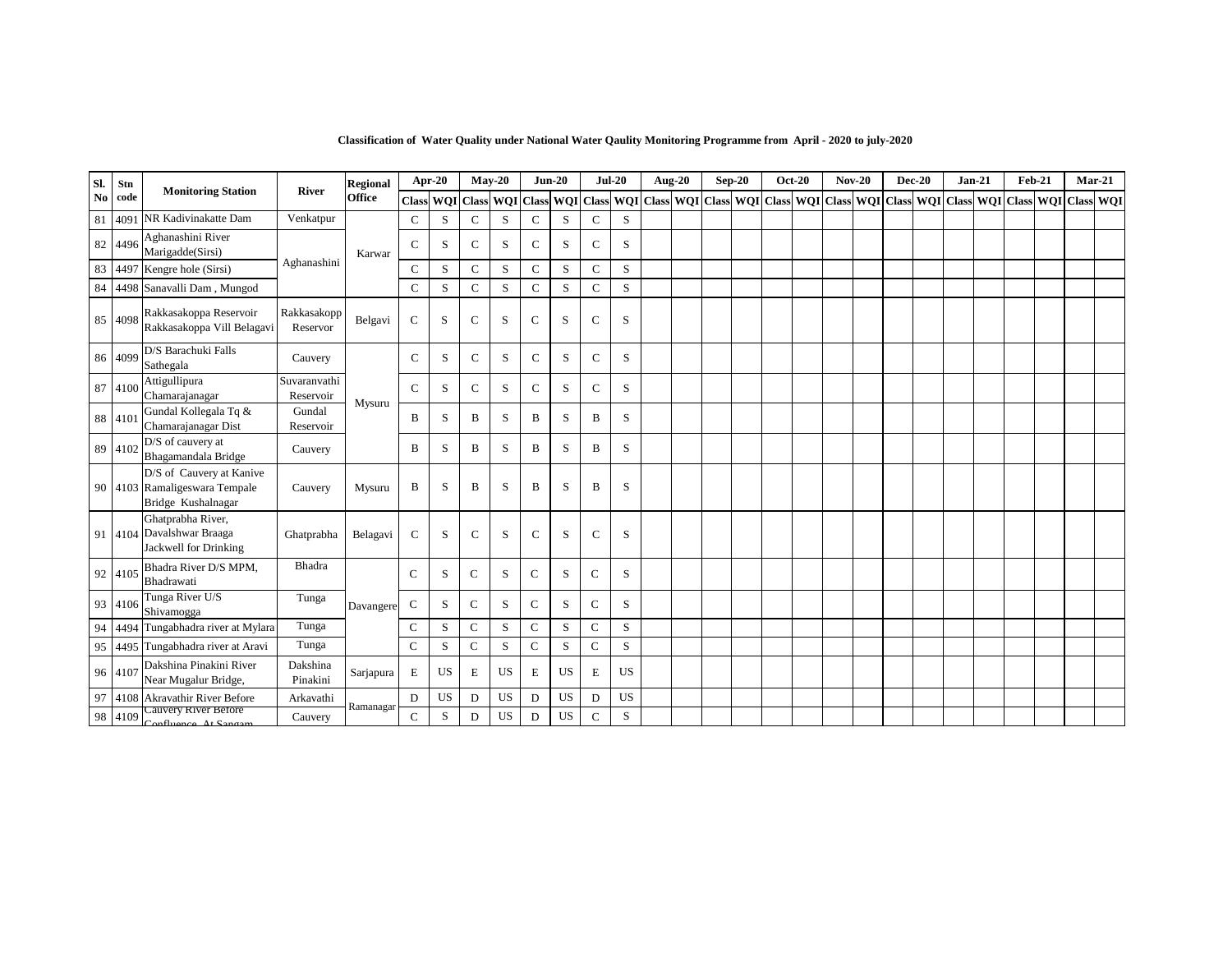| Sl.            | Stn  |                                                                                 |                           | Regional      | Apr-20        |           |               | $Mav-20$                          |              | $Jun-20$  | $Jul-20$         |           |                  | <b>Aug-20</b> | $Sep-20$ | <b>Oct-20</b>                 | $Nov-20$ | $Dec-20$ | $Jan-21$                      | Feb-21 |            | $Mar-21$  |
|----------------|------|---------------------------------------------------------------------------------|---------------------------|---------------|---------------|-----------|---------------|-----------------------------------|--------------|-----------|------------------|-----------|------------------|---------------|----------|-------------------------------|----------|----------|-------------------------------|--------|------------|-----------|
| N <sub>0</sub> | code | <b>Monitoring Station</b>                                                       | <b>River</b>              | <b>Office</b> | <b>Class</b>  |           |               | <b>WQI</b> Class <b>WQI</b> Class |              |           | <b>WQI</b> Class |           | <b>WQI</b> Class |               |          | WQI Class WQI Class WQI Class |          |          | WQI Class WQI Class WQI Class |        | <b>WOI</b> | Class WQI |
| 81             | 4091 | NR Kadivinakatte Dam                                                            | Venkatpur                 |               | $\mathsf{C}$  | S         | $\mathcal{C}$ | S                                 | $\mathsf{C}$ | S         | C                | S         |                  |               |          |                               |          |          |                               |        |            |           |
| 82             | 4496 | Aghanashini River<br>Marigadde(Sirsi)                                           |                           | Karwar        | $\mathsf{C}$  | S         | $\mathcal{C}$ | S                                 | $\mathsf{C}$ | S         | $\mathbf C$      | S         |                  |               |          |                               |          |          |                               |        |            |           |
| 83             | 4497 | Kengre hole (Sirsi)                                                             | Aghanashini               |               | $\mathsf{C}$  | S         | $\mathbf C$   | S                                 | $\mathsf C$  | S         | $\mathsf{C}$     | S         |                  |               |          |                               |          |          |                               |        |            |           |
| 84             |      | 4498 Sanavalli Dam, Mungod                                                      |                           |               | $\mathsf{C}$  | S         | $\mathbf C$   | S                                 | $\mathbf C$  | S         | $\mathsf{C}$     | S         |                  |               |          |                               |          |          |                               |        |            |           |
| 85             | 4098 | Rakkasakoppa Reservoir<br>Rakkasakoppa Vill Belagavi                            | Rakkasakopp<br>Reservor   | Belgavi       | $\mathcal{C}$ | S         | $\mathcal{C}$ | S                                 | $\mathbf C$  | S         | $\mathbf C$      | S         |                  |               |          |                               |          |          |                               |        |            |           |
| 86             | 4099 | D/S Barachuki Falls<br>Sathegala                                                | Cauvery                   |               | $\mathsf{C}$  | S         | $\mathsf{C}$  | S                                 | $\mathsf C$  | S         | $\mathsf{C}$     | S         |                  |               |          |                               |          |          |                               |        |            |           |
| 87             | 4100 | Attigullipura<br>Chamarajanagar                                                 | Suvaranvathi<br>Reservoir | Mysuru        | $\mathcal{C}$ | S         | $\mathbf C$   | S                                 | $\mathsf C$  | S         | $\mathsf{C}$     | S         |                  |               |          |                               |          |          |                               |        |            |           |
| 88             | 4101 | Gundal Kollegala Tq &<br>Chamarajanagar Dist                                    | Gundal<br>Reservoir       |               | B             | S         | B             | S                                 | B            | S         | B                | S         |                  |               |          |                               |          |          |                               |        |            |           |
| 89             | 4102 | D/S of cauvery at<br>Bhagamandala Bridge                                        | Cauvery                   |               | B             | S         | B             | S                                 | B            | S         | B                | S         |                  |               |          |                               |          |          |                               |        |            |           |
|                |      | D/S of Cauvery at Kanive<br>90 4103 Ramaligeswara Tempale<br>Bridge Kushalnagar | Cauvery                   | Mysuru        | B             | S         | B             | S                                 | B            | S         | B                | S         |                  |               |          |                               |          |          |                               |        |            |           |
|                |      | Ghatprabha River,<br>91 4104 Davalshwar Braaga<br>Jackwell for Drinking         | Ghatprabha                | Belagavi      | $\mathsf{C}$  | S         | $\mathsf{C}$  | S                                 | $\mathsf{C}$ | S         | $\mathsf{C}$     | S         |                  |               |          |                               |          |          |                               |        |            |           |
| 92             | 4105 | Bhadra River D/S MPM,<br>Bhadrawati                                             | Bhadra                    |               | $\mathsf{C}$  | S         | $\mathcal{C}$ | S                                 | $\mathsf{C}$ | S         | $\mathsf{C}$     | S         |                  |               |          |                               |          |          |                               |        |            |           |
| 93             | 4106 | Tunga River U/S<br>Shivamogga                                                   | Tunga                     | Davangere     | ${\bf C}$     | S         | $\mathbf C$   | S                                 | $\mathbf C$  | S         | $\mathbf C$      | S         |                  |               |          |                               |          |          |                               |        |            |           |
| 94             | 4494 | Tungabhadra river at Mylara                                                     | Tunga                     |               | $\mathsf{C}$  | S         | $\mathbf C$   | S                                 | $\mathsf{C}$ | S         | $\mathsf{C}$     | S         |                  |               |          |                               |          |          |                               |        |            |           |
| 95             |      | 4495 Tungabhadra river at Aravi                                                 | Tunga                     |               | $\mathsf{C}$  | S         | $\mathbf C$   | S                                 | $\mathsf{C}$ | S         | $\mathbf C$      | S         |                  |               |          |                               |          |          |                               |        |            |           |
| 96             | 4107 | Dakshina Pinakini River<br>Near Mugalur Bridge,                                 | Dakshina<br>Pinakini      | Sarjapura     | $\mathbf E$   | <b>US</b> | E             | <b>US</b>                         | E            | <b>US</b> | E                | <b>US</b> |                  |               |          |                               |          |          |                               |        |            |           |
| 97             | 4108 | Akravathir River Before                                                         | Arkavathi                 | Ramanagar     | ${\rm D}$     | US        | D             | <b>US</b>                         | D            | US        | D                | <b>US</b> |                  |               |          |                               |          |          |                               |        |            |           |
| 98             | 4109 | Cauvery River Before<br>Confluence At Sangam                                    | Cauvery                   |               | $\mathsf{C}$  | S         | D             | <b>US</b>                         | D            | <b>US</b> | $\mathsf{C}$     | S         |                  |               |          |                               |          |          |                               |        |            |           |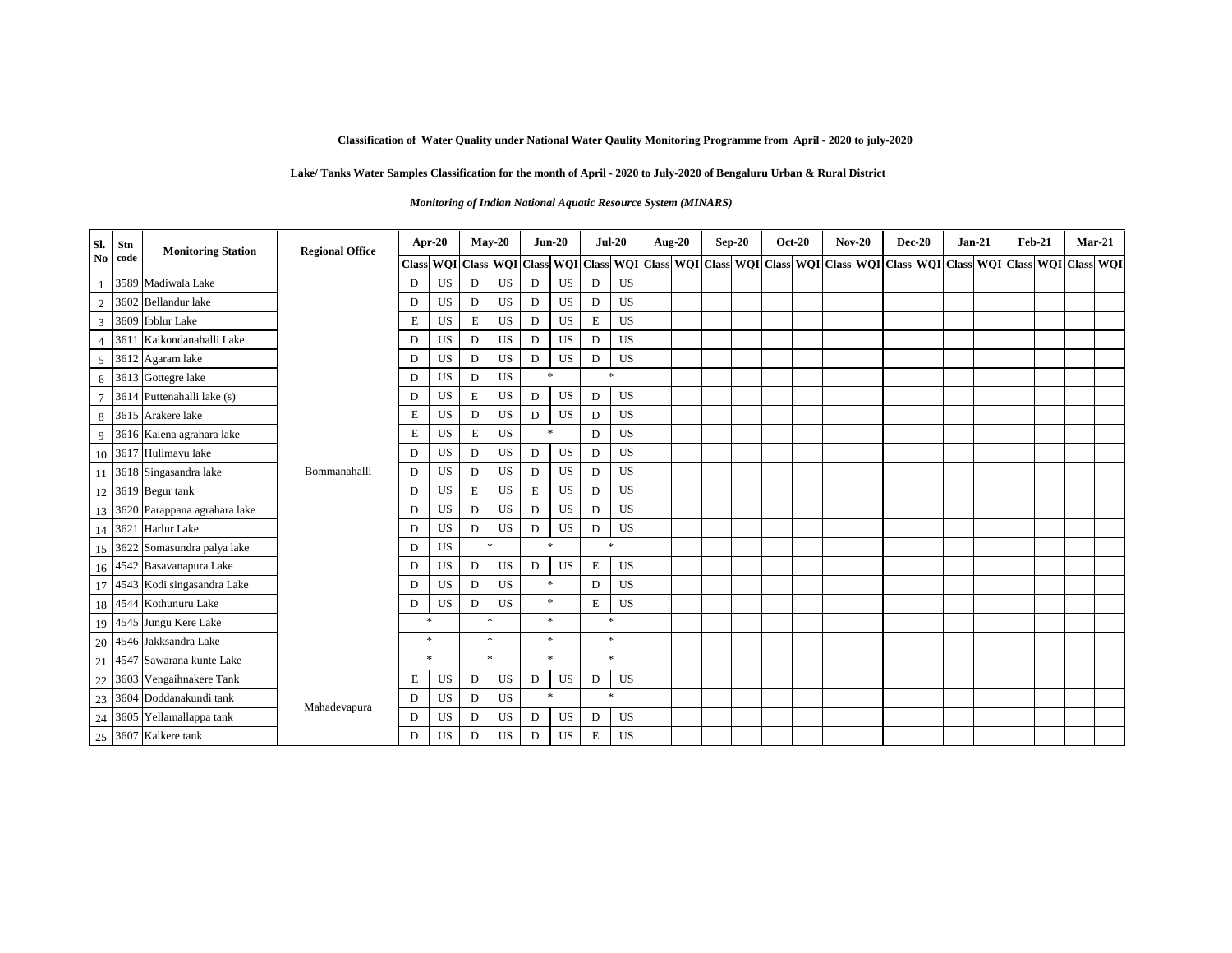#### **Lake/ Tanks Water Samples Classification for the month of April - 2020 to July-2020 of Bengaluru Urban & Rural District**

*Monitoring of Indian National Aquatic Resource System (MINARS)* 

| SI.            | Stn     | <b>Monitoring Station</b>       | <b>Regional Office</b> |              | Apr-20               |        | $May-20$  |                               | $Jun-20$      | $Jul-20$           |           | Aug-20 | $Sep-20$ | <b>Oct-20</b> | $Nov-20$ | <b>Dec-20</b> | $Jan-21$                                                                                                                                                                                                                     | <b>Feb-21</b> |  | $Mar-21$ |
|----------------|---------|---------------------------------|------------------------|--------------|----------------------|--------|-----------|-------------------------------|---------------|--------------------|-----------|--------|----------|---------------|----------|---------------|------------------------------------------------------------------------------------------------------------------------------------------------------------------------------------------------------------------------------|---------------|--|----------|
| N <sub>0</sub> | code    |                                 |                        | <b>Class</b> | <b>WQI</b> Class WQI |        |           | $\boldsymbol{\mathrm{Class}}$ |               |                    |           |        |          |               |          |               | WQI   Class   WQI   Class   WQI   Class   WQI   Class   WQI   Class   WQI   Class   WQI   Class   WQI   Class   WQI   Class   WQI   Class   WQI   Class   WQI   Class   WQI   Class   WQI   Class   WQI   Class   WQI   Clas |               |  |          |
| $\overline{1}$ |         | 3589 Madiwala Lake              |                        | D            | <b>US</b>            | D      | <b>US</b> | D                             | <b>US</b>     | D                  | <b>US</b> |        |          |               |          |               |                                                                                                                                                                                                                              |               |  |          |
| 2              | 3602    | <b>Bellandur</b> lake           |                        | D            | <b>US</b>            | D      | <b>US</b> | D                             | <b>US</b>     | D                  | <b>US</b> |        |          |               |          |               |                                                                                                                                                                                                                              |               |  |          |
| $\overline{3}$ |         | 3609 Ibblur Lake                |                        | Е            | <b>US</b>            | E      | <b>US</b> | D                             | US            | $\mathbf E$        | US        |        |          |               |          |               |                                                                                                                                                                                                                              |               |  |          |
| $\overline{4}$ | 3611    | Kaikondanahalli Lake            |                        | D            | <b>US</b>            | D      | US        | D                             | <b>US</b>     | D                  | <b>US</b> |        |          |               |          |               |                                                                                                                                                                                                                              |               |  |          |
| 5              |         | 3612 Agaram lake                |                        | D            | US                   | D      | US        | D                             | <b>US</b>     | $\mathbf D$        | US        |        |          |               |          |               |                                                                                                                                                                                                                              |               |  |          |
| 6              |         | 3613 Gottegre lake              |                        | D            | <b>US</b>            | D      | <b>US</b> |                               | $\ast$        | $\dot{\mathbf{x}}$ |           |        |          |               |          |               |                                                                                                                                                                                                                              |               |  |          |
| $\overline{7}$ |         | 3614 Puttenahalli lake (s)      |                        | D            | <b>US</b>            | E      | US        | D                             | US            | $\mathbf D$        | US        |        |          |               |          |               |                                                                                                                                                                                                                              |               |  |          |
| 8              |         | 3615 Arakere lake               |                        | Е            | <b>US</b>            | D      | US        | D                             | <b>US</b>     | D                  | <b>US</b> |        |          |               |          |               |                                                                                                                                                                                                                              |               |  |          |
| 9              |         | 3616 Kalena agrahara lake       |                        | Е            | <b>US</b>            | E      | US        |                               | $\ast$        | D                  | US        |        |          |               |          |               |                                                                                                                                                                                                                              |               |  |          |
|                | 10 3617 | Hulimavu lake                   |                        | D            | <b>US</b>            | D      | <b>US</b> | D                             | US            | D                  | US        |        |          |               |          |               |                                                                                                                                                                                                                              |               |  |          |
| 11             |         | 3618 Singasandra lake           | Bommanahalli           | D            | <b>US</b>            | D      | <b>US</b> | D                             | <b>US</b>     | D                  | <b>US</b> |        |          |               |          |               |                                                                                                                                                                                                                              |               |  |          |
| 12             |         | 3619 Begur tank                 |                        | D            | <b>US</b>            | E      | <b>US</b> | E                             | <b>US</b>     | D                  | <b>US</b> |        |          |               |          |               |                                                                                                                                                                                                                              |               |  |          |
|                |         | 13 3620 Parappana agrahara lake |                        | D            | US                   | D      | <b>US</b> | D                             | <b>US</b>     | $\mathbf D$        | US        |        |          |               |          |               |                                                                                                                                                                                                                              |               |  |          |
|                |         | 14 3621 Harlur Lake             |                        | D            | <b>US</b>            | D      | <b>US</b> | D                             | US            | D                  | US        |        |          |               |          |               |                                                                                                                                                                                                                              |               |  |          |
|                | 15 3622 | Somasundra palya lake           |                        | D            | US                   | $\ast$ |           |                               | $\ast$        | *                  |           |        |          |               |          |               |                                                                                                                                                                                                                              |               |  |          |
|                |         | 16 4542 Basavanapura Lake       |                        | D            | <b>US</b>            | D      | US        | D                             | <b>US</b>     | $\mathbf E$        | <b>US</b> |        |          |               |          |               |                                                                                                                                                                                                                              |               |  |          |
|                |         | 17 4543 Kodi singasandra Lake   |                        | D            | <b>US</b>            | D      | US        |                               | $\ast$        | D                  | US        |        |          |               |          |               |                                                                                                                                                                                                                              |               |  |          |
|                |         | 18 4544 Kothunuru Lake          |                        | D            | US                   | D      | <b>US</b> |                               | $\ast$        | E                  | US        |        |          |               |          |               |                                                                                                                                                                                                                              |               |  |          |
| 19             |         | 4545 Jungu Kere Lake            |                        |              | *                    | $\ast$ |           |                               | $\ast$        | $\mathbf{x}$       |           |        |          |               |          |               |                                                                                                                                                                                                                              |               |  |          |
| 20             |         | 4546 Jakksandra Lake            |                        |              | $\ast$               | $\gg$  |           |                               | $\mathcal{R}$ | $\ast$             |           |        |          |               |          |               |                                                                                                                                                                                                                              |               |  |          |
|                | 21 4547 | Sawarana kunte Lake             |                        |              | $\ast$               |        | $\ast$    |                               | $\ast$        | *                  |           |        |          |               |          |               |                                                                                                                                                                                                                              |               |  |          |
| 22             |         | 3603 Vengaihnakere Tank         |                        | Е            | US                   | D      | US        | D                             | US            | D                  | US        |        |          |               |          |               |                                                                                                                                                                                                                              |               |  |          |
| 23             | 3604    | Doddanakundi tank               | Mahadevapura           | D            | US                   | D      | US        |                               | $\ast$        | $\ast$             |           |        |          |               |          |               |                                                                                                                                                                                                                              |               |  |          |
| 24             |         | 3605 Yellamallappa tank         |                        | D            | <b>US</b>            | D      | <b>US</b> | D                             | US            | D                  | US        |        |          |               |          |               |                                                                                                                                                                                                                              |               |  |          |
|                |         | 25 3607 Kalkere tank            |                        | D            | US                   | D      | US        | D                             | US            | E                  | US        |        |          |               |          |               |                                                                                                                                                                                                                              |               |  |          |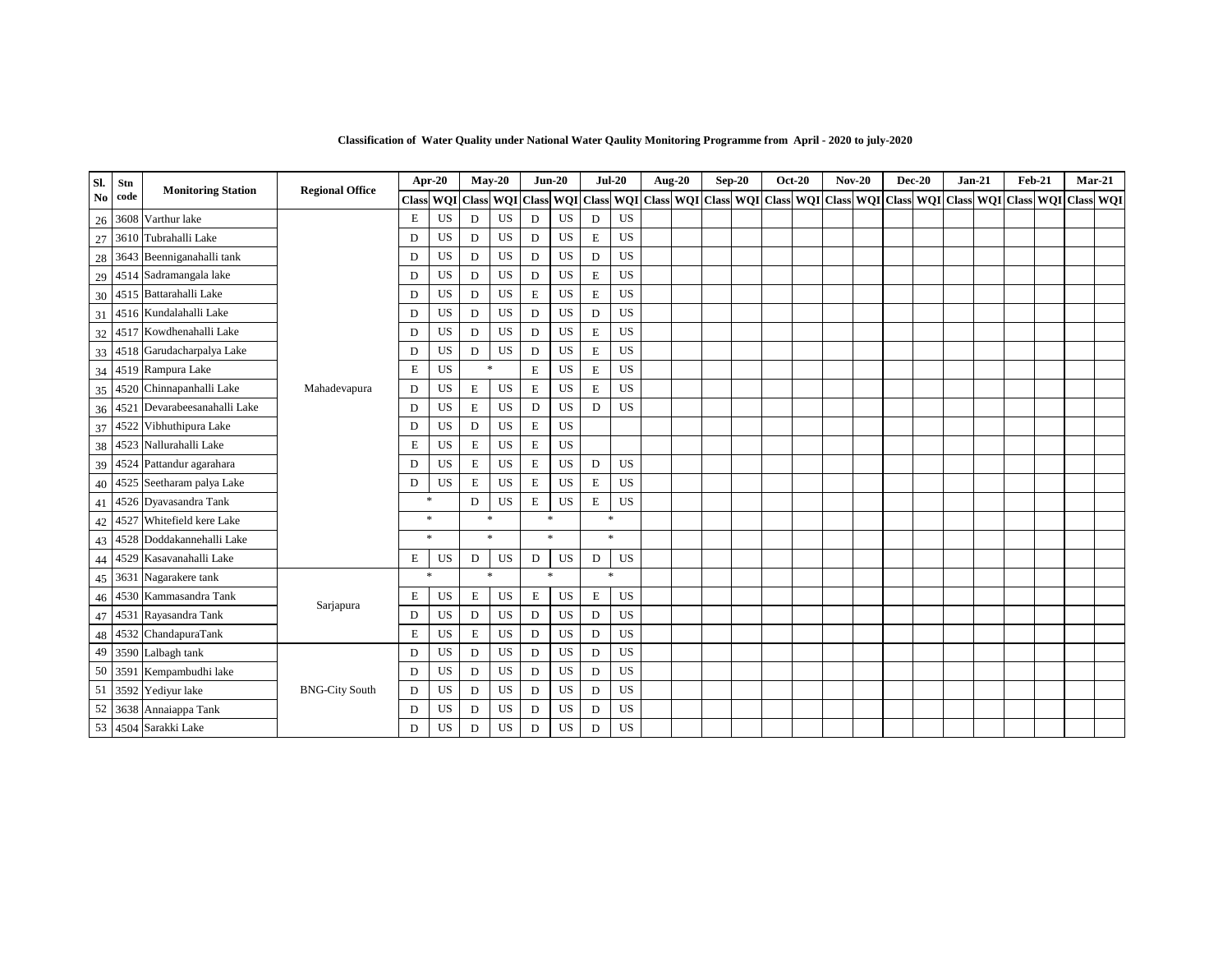| Sl.                    | Stn     | <b>Monitoring Station</b>        | <b>Regional Office</b> | Apr-20             |           | $Mav-20$             |           |              | $Jun-20$  | $Jul-20$           |           | <b>Aug-20</b> | $Sep-20$ |                                             | <b>Oct-20</b> | $Nov-20$ | $Dec-20$                                                            |  | $Jan-21$ | $Feb-21$ | $Mar-21$ |  |
|------------------------|---------|----------------------------------|------------------------|--------------------|-----------|----------------------|-----------|--------------|-----------|--------------------|-----------|---------------|----------|---------------------------------------------|---------------|----------|---------------------------------------------------------------------|--|----------|----------|----------|--|
| $\mathbf{N}\mathbf{o}$ | code    |                                  |                        | <b>Class</b>       |           | <b>WOI</b> Class WOI |           | <b>Class</b> |           |                    |           |               |          | WOI Class WOI Class WOI Class WOI Class WOI |               |          | Class   WOI   Class   WOI   Class   WOI   Class   WOI   Class   WOI |  |          |          |          |  |
|                        |         | 26 3608 Varthur lake             |                        | E                  | US        | D                    | <b>US</b> | D            | US        | D                  | <b>US</b> |               |          |                                             |               |          |                                                                     |  |          |          |          |  |
| 27                     | 3610    | Tubrahalli Lake                  |                        | D                  | US        | D                    | <b>US</b> | D            | US        | E                  | <b>US</b> |               |          |                                             |               |          |                                                                     |  |          |          |          |  |
|                        | 28 3643 | Beenniganahalli tank             |                        | D                  | US        | D                    | <b>US</b> | D            | US        | D                  | <b>US</b> |               |          |                                             |               |          |                                                                     |  |          |          |          |  |
| 29                     | 4514    | Sadramangala lake                |                        | D                  | US        | D                    | US        | $\mathbf D$  | US        | $\mathbf E$        | US        |               |          |                                             |               |          |                                                                     |  |          |          |          |  |
|                        |         | 30 4515 Battarahalli Lake        |                        | D                  | US        | D                    | <b>US</b> | $\mathbf E$  | <b>US</b> | E                  | <b>US</b> |               |          |                                             |               |          |                                                                     |  |          |          |          |  |
| 31                     |         | 4516 Kundalahalli Lake           |                        | D                  | US        | D                    | <b>US</b> | D            | US        | D                  | <b>US</b> |               |          |                                             |               |          |                                                                     |  |          |          |          |  |
|                        | 32 4517 | Kowdhenahalli Lake               |                        | D                  | US        | D                    | <b>US</b> | D            | <b>US</b> | E                  | <b>US</b> |               |          |                                             |               |          |                                                                     |  |          |          |          |  |
| 33                     | 451     | Garudacharpalya Lake             |                        | D                  | US        | D                    | US        | D            | US        | $\mathbf E$        | US        |               |          |                                             |               |          |                                                                     |  |          |          |          |  |
|                        |         | 34 4519 Rampura Lake             |                        | E                  | US        | $\ast$               |           | $\mathbf E$  | <b>US</b> | E                  | <b>US</b> |               |          |                                             |               |          |                                                                     |  |          |          |          |  |
| 35                     |         | 4520 Chinnapanhalli Lake         | Mahadevapura           | D                  | US        | Е                    | <b>US</b> | $\mathbf E$  | US        | $\mathbf E$        | <b>US</b> |               |          |                                             |               |          |                                                                     |  |          |          |          |  |
| 36                     | 4521    | Devarabeesanahalli Lake          |                        | D                  | US        | Е                    | US        | ${\rm D}$    | <b>US</b> | $\mathbf D$        | <b>US</b> |               |          |                                             |               |          |                                                                     |  |          |          |          |  |
| 37                     |         | 4522 Vibhuthipura Lake           |                        | D                  | US        | D                    | US        | $\mathbf E$  | US        |                    |           |               |          |                                             |               |          |                                                                     |  |          |          |          |  |
| 38                     | 4523    | Nallurahalli Lake                |                        | E                  | US        | $\mathbf E$          | US        | $\mathbf E$  | <b>US</b> |                    |           |               |          |                                             |               |          |                                                                     |  |          |          |          |  |
|                        |         | 39 4524 Pattandur agarahara      |                        | D                  | <b>US</b> | E                    | <b>US</b> | $\mathbf E$  | <b>US</b> | D                  | <b>US</b> |               |          |                                             |               |          |                                                                     |  |          |          |          |  |
| 40                     |         | 4525 Seetharam palya Lake        |                        | D                  | US        | E                    | US        | $\mathbf E$  | US        | E                  | <b>US</b> |               |          |                                             |               |          |                                                                     |  |          |          |          |  |
| 41                     |         | 4526 Dyavasandra Tank            |                        | $\mathbf{r}$       |           | D                    | <b>US</b> | $\mathbf E$  | US        | E                  | <b>US</b> |               |          |                                             |               |          |                                                                     |  |          |          |          |  |
| 42                     | 4527    | Whitefield kere Lake             |                        | *                  |           | $\gg$                |           | $\ast$       |           | 永                  |           |               |          |                                             |               |          |                                                                     |  |          |          |          |  |
|                        |         | 43   4528   Doddakannehalli Lake |                        | $\mathbf{R}$       |           |                      | $\ast$    | $\ast$       |           | s.                 |           |               |          |                                             |               |          |                                                                     |  |          |          |          |  |
| 44                     |         | 4529 Kasavanahalli Lake          |                        | E                  | US        | D                    | US        | D            | US        | D                  | US        |               |          |                                             |               |          |                                                                     |  |          |          |          |  |
|                        | 45 363  | Nagarakere tank                  |                        | $\dot{\mathbf{x}}$ |           | ż                    |           | $\mathbf{k}$ |           | $\dot{\mathbf{x}}$ |           |               |          |                                             |               |          |                                                                     |  |          |          |          |  |
| 46                     | 4530    | Kammasandra Tank                 |                        | E                  | US        | E                    | <b>US</b> | $\mathbf E$  | US        | E                  | <b>US</b> |               |          |                                             |               |          |                                                                     |  |          |          |          |  |
|                        | 47 453  | Rayasandra Tank                  | Sarjapura              | D                  | US        | D                    | <b>US</b> | D            | US        | D                  | <b>US</b> |               |          |                                             |               |          |                                                                     |  |          |          |          |  |
| 48                     | 4532    | ChandapuraTank                   |                        | $\mathbf E$        | US        | E                    | <b>US</b> | $\mathbf D$  | US        | D                  | <b>US</b> |               |          |                                             |               |          |                                                                     |  |          |          |          |  |
| 49                     |         | 3590 Lalbagh tank                |                        | D                  | US        | D                    | <b>US</b> | D            | US        | D                  | US        |               |          |                                             |               |          |                                                                     |  |          |          |          |  |
| 50                     | 3591    | Kempambudhi lake                 |                        | D                  | US        | D                    | <b>US</b> | D            | US        | D                  | US        |               |          |                                             |               |          |                                                                     |  |          |          |          |  |
|                        | 51 3592 | Yediyur lake                     | <b>BNG-City South</b>  | D                  | US        | D                    | US        | D            | US        | D                  | US        |               |          |                                             |               |          |                                                                     |  |          |          |          |  |
| 52                     |         | 3638 Annaiappa Tank              |                        | D                  | US        | D                    | US        | D            | US        | D                  | US        |               |          |                                             |               |          |                                                                     |  |          |          |          |  |
|                        |         | 53 4504 Sarakki Lake             |                        | D                  | US        | D                    | US        | D            | US        | D                  | US        |               |          |                                             |               |          |                                                                     |  |          |          |          |  |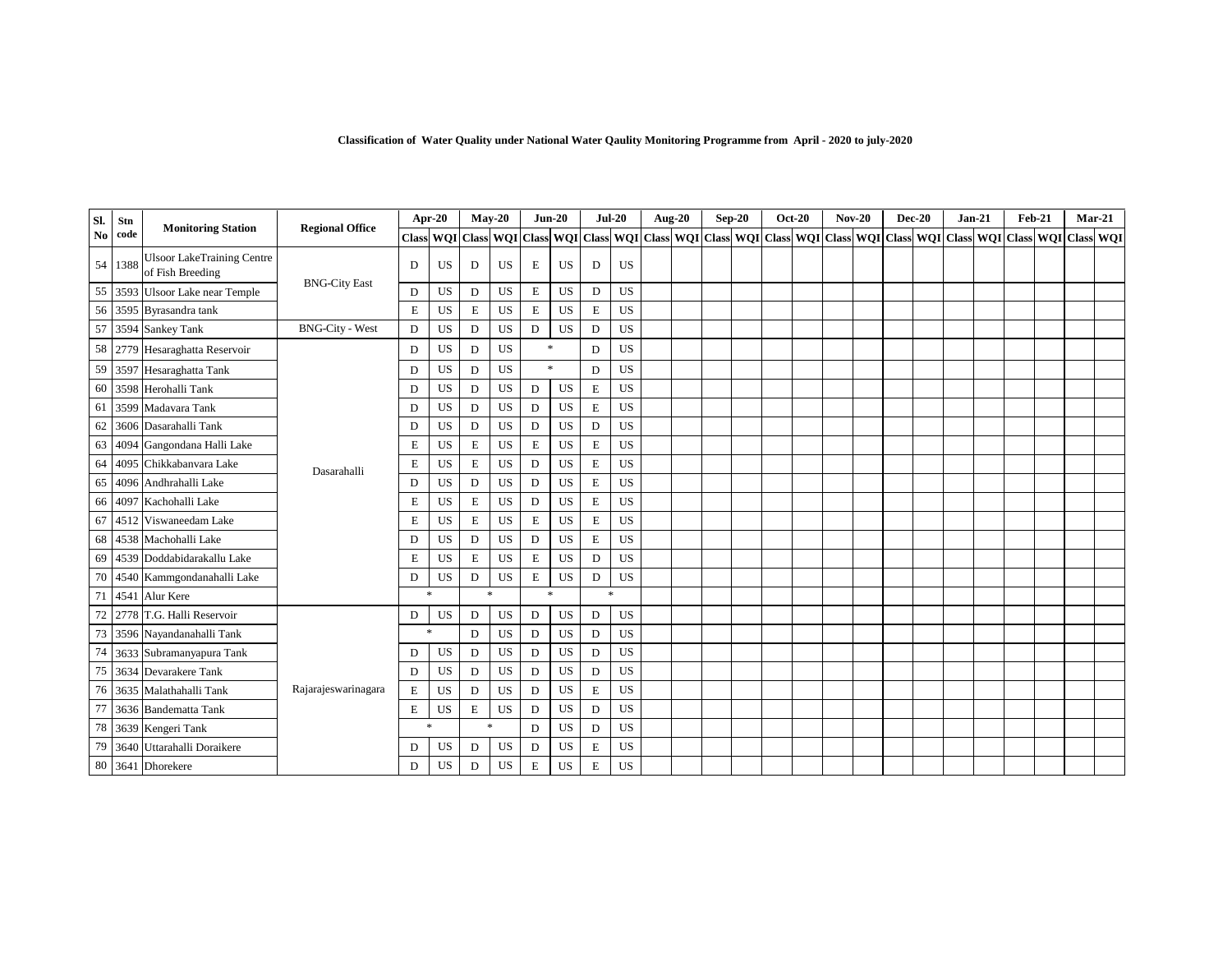| SI. | Stn  |                                                       | <b>Regional Office</b> |              | Apr-20    |                                   | $May-20$  |             | $Jun-20$  | $Jul-20$    |           | <b>Aug-20</b> | $Sep-20$ |                                             | <b>Oct-20</b> | $Nov-20$ | <b>Dec-20</b> | $Jan-21$ | Feb-21 | $Mar-21$                                                            |  |
|-----|------|-------------------------------------------------------|------------------------|--------------|-----------|-----------------------------------|-----------|-------------|-----------|-------------|-----------|---------------|----------|---------------------------------------------|---------------|----------|---------------|----------|--------|---------------------------------------------------------------------|--|
| No  | code | <b>Monitoring Station</b>                             |                        | <b>Class</b> |           | <b>WOI</b> Class <b>WOI</b> Class |           |             |           |             |           |               |          | WQI Class WQI Class WQI Class WQI Class WQI |               |          |               |          |        | Class   WOI   Class   WOI   Class   WOI   Class   WOI   Class   WOI |  |
| 54  | 1388 | <b>Ulsoor LakeTraining Centre</b><br>of Fish Breeding |                        | D            | US        | D                                 | US        | E           | US        | D           | <b>US</b> |               |          |                                             |               |          |               |          |        |                                                                     |  |
| 55  |      | 3593 Ulsoor Lake near Temple                          | <b>BNG-City East</b>   | D            | US        | D                                 | US        | $\mathbf E$ | <b>US</b> | D           | <b>US</b> |               |          |                                             |               |          |               |          |        |                                                                     |  |
|     |      | 56 3595 Byrasandra tank                               |                        | $\mathbf E$  | US        | Е                                 | <b>US</b> | E           | US        | Е           | <b>US</b> |               |          |                                             |               |          |               |          |        |                                                                     |  |
| 57  |      | 3594 Sankey Tank                                      | <b>BNG-City - West</b> | D            | US        | D                                 | US        | D           | US        | D           | US        |               |          |                                             |               |          |               |          |        |                                                                     |  |
|     |      | 58 2779 Hesaraghatta Reservoir                        |                        | D            | US        | D                                 | US        |             | $\ast$    | D           | US        |               |          |                                             |               |          |               |          |        |                                                                     |  |
| 59  |      | 3597 Hesaraghatta Tank                                |                        | D            | US        | D                                 | <b>US</b> |             | $\ast$    | D           | US        |               |          |                                             |               |          |               |          |        |                                                                     |  |
| 60  |      | 3598 Herohalli Tank                                   |                        | D            | US        | D                                 | <b>US</b> | D           | US        | E           | US        |               |          |                                             |               |          |               |          |        |                                                                     |  |
| 61  | 3599 | Madavara Tank                                         |                        | D            | US        | D                                 | US        | $\mathbf D$ | US        | E           | US        |               |          |                                             |               |          |               |          |        |                                                                     |  |
| 62  | 3606 | Dasarahalli Tank                                      |                        | D            | US        | D                                 | US        | D           | <b>US</b> | D           | <b>US</b> |               |          |                                             |               |          |               |          |        |                                                                     |  |
| 63  | 4094 | Gangondana Halli Lake                                 |                        | Е            | US        | E                                 | <b>US</b> | E           | <b>US</b> | E           | US        |               |          |                                             |               |          |               |          |        |                                                                     |  |
| 64  | 4095 | Chikkabanvara Lake                                    | Dasarahalli            | E            | US        | Е                                 | <b>US</b> | D           | US        | E           | US        |               |          |                                             |               |          |               |          |        |                                                                     |  |
| 65  | 4096 | Andhrahalli Lake                                      |                        | D            | US        | D                                 | <b>US</b> | D           | <b>US</b> | $\mathbf E$ | US        |               |          |                                             |               |          |               |          |        |                                                                     |  |
| 66  | 4097 | Kachohalli Lake                                       |                        | E            | US        | Е                                 | <b>US</b> | D           | US        | E           | US        |               |          |                                             |               |          |               |          |        |                                                                     |  |
| 67  | 4512 | Viswaneedam Lake                                      |                        | E            | US        | E                                 | <b>US</b> | Е           | <b>US</b> | $\mathbf E$ | US        |               |          |                                             |               |          |               |          |        |                                                                     |  |
| 68  |      | 4538 Machohalli Lake                                  |                        | D            | US        | D                                 | <b>US</b> | D           | US        | E           | <b>US</b> |               |          |                                             |               |          |               |          |        |                                                                     |  |
| 69  |      | 4539 Doddabidarakallu Lake                            |                        | E            | US        | E                                 | <b>US</b> | Е           | <b>US</b> | D           | <b>US</b> |               |          |                                             |               |          |               |          |        |                                                                     |  |
| 70  |      | 4540 Kammgondanahalli Lake                            |                        | D            | US        | D                                 | US        | Е           | <b>US</b> | $\mathbf D$ | <b>US</b> |               |          |                                             |               |          |               |          |        |                                                                     |  |
| 71  |      | 4541 Alur Kere                                        |                        |              | $\ast$    | $\frac{1}{2}$                     |           |             | $\ast$    | $\ast$      |           |               |          |                                             |               |          |               |          |        |                                                                     |  |
| 72  |      | 2778 T.G. Halli Reservoir                             |                        | D            | US        | D                                 | US        | D           | US        | D           | <b>US</b> |               |          |                                             |               |          |               |          |        |                                                                     |  |
| 73  |      | 3596 Nayandanahalli Tank                              |                        |              | $\ast$    | D                                 | <b>US</b> | $\mathbf D$ | <b>US</b> | ${\bf D}$   | <b>US</b> |               |          |                                             |               |          |               |          |        |                                                                     |  |
| 74  |      | 3633 Subramanyapura Tank                              |                        | D            | US        | D                                 | <b>US</b> | $\mathbf D$ | <b>US</b> | D           | <b>US</b> |               |          |                                             |               |          |               |          |        |                                                                     |  |
| 75  |      | 3634 Devarakere Tank                                  |                        | D            | US        | D                                 | US        | D           | <b>US</b> | D           | <b>US</b> |               |          |                                             |               |          |               |          |        |                                                                     |  |
|     |      | 76 3635 Malathahalli Tank                             | Rajarajeswarinagara    | $\mathbf E$  | <b>US</b> | D                                 | <b>US</b> | $\mathbf D$ | <b>US</b> | E           | <b>US</b> |               |          |                                             |               |          |               |          |        |                                                                     |  |
| 77  |      | 3636 Bandematta Tank                                  |                        | Е            | US        | Е                                 | US        | D           | US        | D           | <b>US</b> |               |          |                                             |               |          |               |          |        |                                                                     |  |
|     |      | 78 3639 Kengeri Tank                                  |                        | $\ast$       |           | $\dot{\mathbf{x}}$                |           | $\mathbf D$ | US        | D           | US        |               |          |                                             |               |          |               |          |        |                                                                     |  |
| 79  |      | 3640 Uttarahalli Doraikere                            |                        | D            | US        | D                                 | US        | D           | US        | E           | <b>US</b> |               |          |                                             |               |          |               |          |        |                                                                     |  |
|     |      | 80 3641 Dhorekere                                     |                        | D            | US        | D                                 | US        | E           | <b>US</b> | E           | US        |               |          |                                             |               |          |               |          |        |                                                                     |  |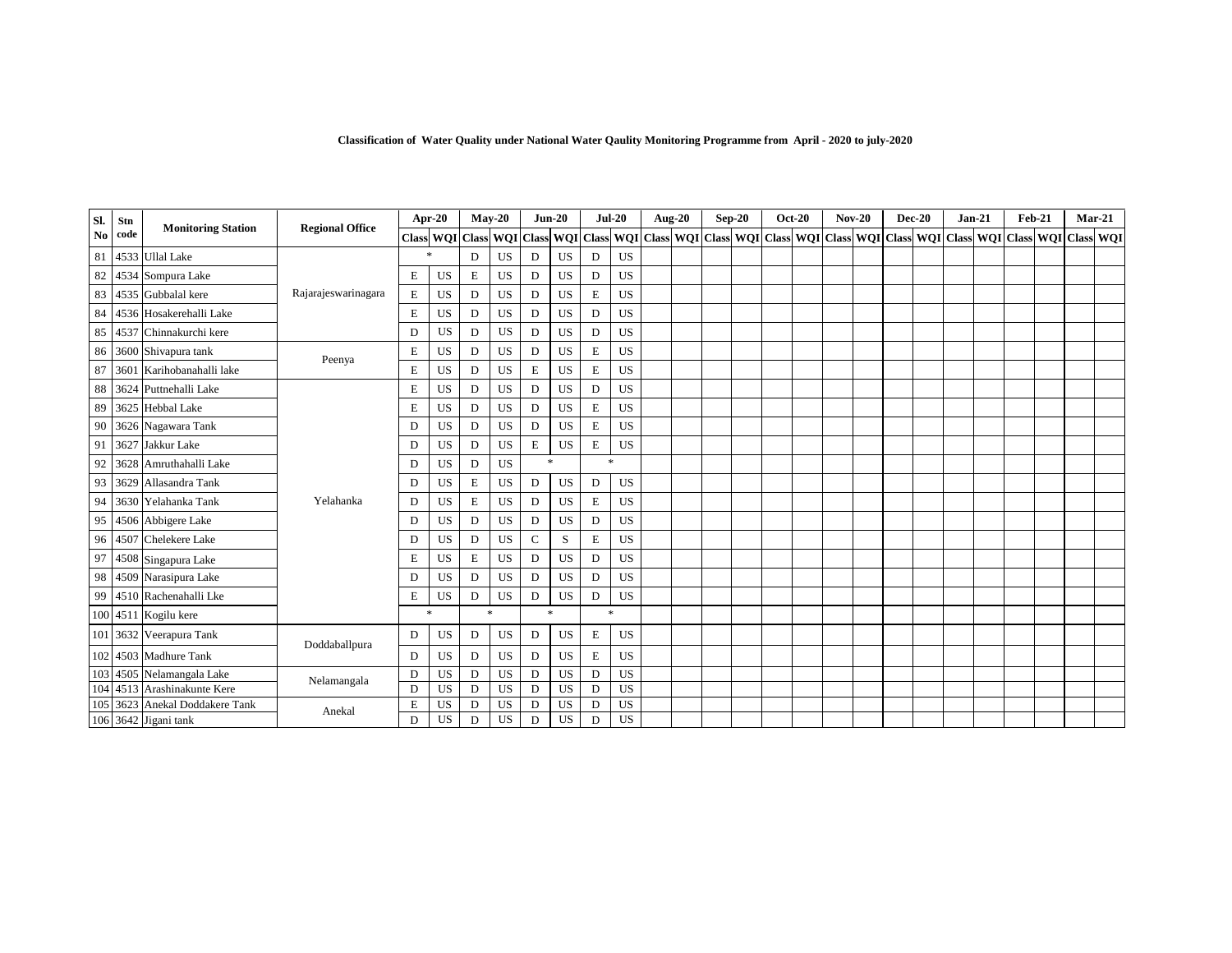| SI.            | Stn  |                           |                        |              | Apr-20    |                     | $May-20$  |             | $Jun-20$  |                    | $Jul-20$         | <b>Aug-20</b> |              | $Sep-20$ |               | <b>Oct-20</b> |              | $Nov-20$ | $Dec-20$         | $Jan-21$                   | Feb-21 |            |              | $Mar-21$ |
|----------------|------|---------------------------|------------------------|--------------|-----------|---------------------|-----------|-------------|-----------|--------------------|------------------|---------------|--------------|----------|---------------|---------------|--------------|----------|------------------|----------------------------|--------|------------|--------------|----------|
| N <sub>o</sub> | code | <b>Monitoring Station</b> | <b>Regional Office</b> | <b>Class</b> |           | WQI Class WQI Class |           |             | WQI       | <b>Class</b>       | <b>WOI</b> Class | <b>WQI</b>    | <b>Class</b> |          | WQI Class WQI |               | <b>Class</b> |          | <b>WQI</b> Class | <b>WQI</b> Class WQI Class |        | <b>WOI</b> | <b>Class</b> | WQI      |
| 81             |      | 4533 Ullal Lake           |                        |              |           | D                   | <b>US</b> | D           | <b>US</b> | D                  | US               |               |              |          |               |               |              |          |                  |                            |        |            |              |          |
| 82             | 4534 | Sompura Lake              |                        | Е            | <b>US</b> | E                   | US        | D           | US        | D                  | US               |               |              |          |               |               |              |          |                  |                            |        |            |              |          |
| 83             |      | 4535 Gubbalal kere        | Rajarajeswarinagara    | $\mathbf E$  | <b>US</b> | D                   | <b>US</b> | D           | <b>US</b> | E                  | US               |               |              |          |               |               |              |          |                  |                            |        |            |              |          |
| 84             |      | 4536 Hosakerehalli Lake   |                        | E            | <b>US</b> | D                   | US        | D           | US        | D                  | <b>US</b>        |               |              |          |               |               |              |          |                  |                            |        |            |              |          |
| 85             | 4537 | Chinnakurchi kere         |                        | D            | <b>US</b> | D                   | <b>US</b> | D           | <b>US</b> | D                  | <b>US</b>        |               |              |          |               |               |              |          |                  |                            |        |            |              |          |
| 86             |      | 3600 Shivapura tank       |                        | Е            | US        | D                   | <b>US</b> | D           | US        | E                  | US               |               |              |          |               |               |              |          |                  |                            |        |            |              |          |
| 87             | 3601 | Karihobanahalli lake      | Peenya                 | E            | <b>US</b> | D                   | <b>US</b> | E           | <b>US</b> | E                  | US               |               |              |          |               |               |              |          |                  |                            |        |            |              |          |
| 88             | 3624 | Puttnehalli Lake          |                        | Е            | US        | D                   | US        | D           | US        | D                  | US               |               |              |          |               |               |              |          |                  |                            |        |            |              |          |
| 89             |      | 3625 Hebbal Lake          |                        | Е            | US        | D                   | US        | D           | <b>US</b> | E                  | <b>US</b>        |               |              |          |               |               |              |          |                  |                            |        |            |              |          |
| 90             |      | 3626 Nagawara Tank        |                        | D            | <b>US</b> | D                   | <b>US</b> | D           | US        | E                  | <b>US</b>        |               |              |          |               |               |              |          |                  |                            |        |            |              |          |
| 91             | 3627 | Jakkur Lake               |                        | D            | US        | D                   | US        | E           | US        | $\mathbf E$        | <b>US</b>        |               |              |          |               |               |              |          |                  |                            |        |            |              |          |
| 92             | 3628 | Amruthahalli Lake         |                        | D            | US        | D                   | <b>US</b> |             | 业         | $\dot{\mathbf{x}}$ |                  |               |              |          |               |               |              |          |                  |                            |        |            |              |          |
| 93             | 3629 | Allasandra Tank           |                        | D            | US        | E                   | US        | D           | US        | D                  | US               |               |              |          |               |               |              |          |                  |                            |        |            |              |          |
| 94             | 3630 | Yelahanka Tank            | Yelahanka              | D            | US        | E                   | <b>US</b> | D           | <b>US</b> | E                  | <b>US</b>        |               |              |          |               |               |              |          |                  |                            |        |            |              |          |
| 95             |      | 4506 Abbigere Lake        |                        | D            | US        | D                   | US        | D           | US        | D                  | US               |               |              |          |               |               |              |          |                  |                            |        |            |              |          |
| 96             |      | 4507 Chelekere Lake       |                        | D            | US        | D                   | <b>US</b> | $\mathbf C$ | S         | E                  | <b>US</b>        |               |              |          |               |               |              |          |                  |                            |        |            |              |          |
| 97             |      | 4508 Singapura Lake       |                        | E            | <b>US</b> | E                   | <b>US</b> | D           | <b>US</b> | D                  | <b>US</b>        |               |              |          |               |               |              |          |                  |                            |        |            |              |          |
| 98             |      | 4509 Narasipura Lake      |                        | D            | US        | D                   | <b>US</b> | D           | US        | D                  | <b>US</b>        |               |              |          |               |               |              |          |                  |                            |        |            |              |          |
| 99             |      | 4510 Rachenahalli Lke     |                        | E            | US        | D                   | <b>US</b> | D           | US        | D                  | <b>US</b>        |               |              |          |               |               |              |          |                  |                            |        |            |              |          |
|                |      | 100 4511 Kogilu kere      |                        |              | $\ast$    |                     | $\ast$    |             | $\ast$    | $\ast$             |                  |               |              |          |               |               |              |          |                  |                            |        |            |              |          |
|                |      | 101 3632 Veerapura Tank   |                        | D            | US        | D                   | US        | D           | US        | $\mathbf E$        | <b>US</b>        |               |              |          |               |               |              |          |                  |                            |        |            |              |          |
| 102            |      | 4503 Madhure Tank         | Doddaballpura          | D            | US        | D                   | <b>US</b> | D           | US        | E                  | <b>US</b>        |               |              |          |               |               |              |          |                  |                            |        |            |              |          |
| 103            | 4505 | Nelamangala Lake          |                        | D            | <b>US</b> | D                   | <b>US</b> | D           | <b>US</b> | D                  | <b>US</b>        |               |              |          |               |               |              |          |                  |                            |        |            |              |          |
| 104            | 4513 | Arashinakunte Kere        | Nelamangala            | D            | US        | D                   | <b>US</b> | D           | <b>US</b> | D                  | <b>US</b>        |               |              |          |               |               |              |          |                  |                            |        |            |              |          |
| 105            | 3623 | Anekal Doddakere Tank     | Anekal                 | E            | US        | D                   | <b>US</b> | $\mathbf D$ | <b>US</b> | D                  | US               |               |              |          |               |               |              |          |                  |                            |        |            |              |          |
|                |      | 106 3642 Jigani tank      |                        | D            | US        | D                   | <b>US</b> | D           | US        | D                  | <b>US</b>        |               |              |          |               |               |              |          |                  |                            |        |            |              |          |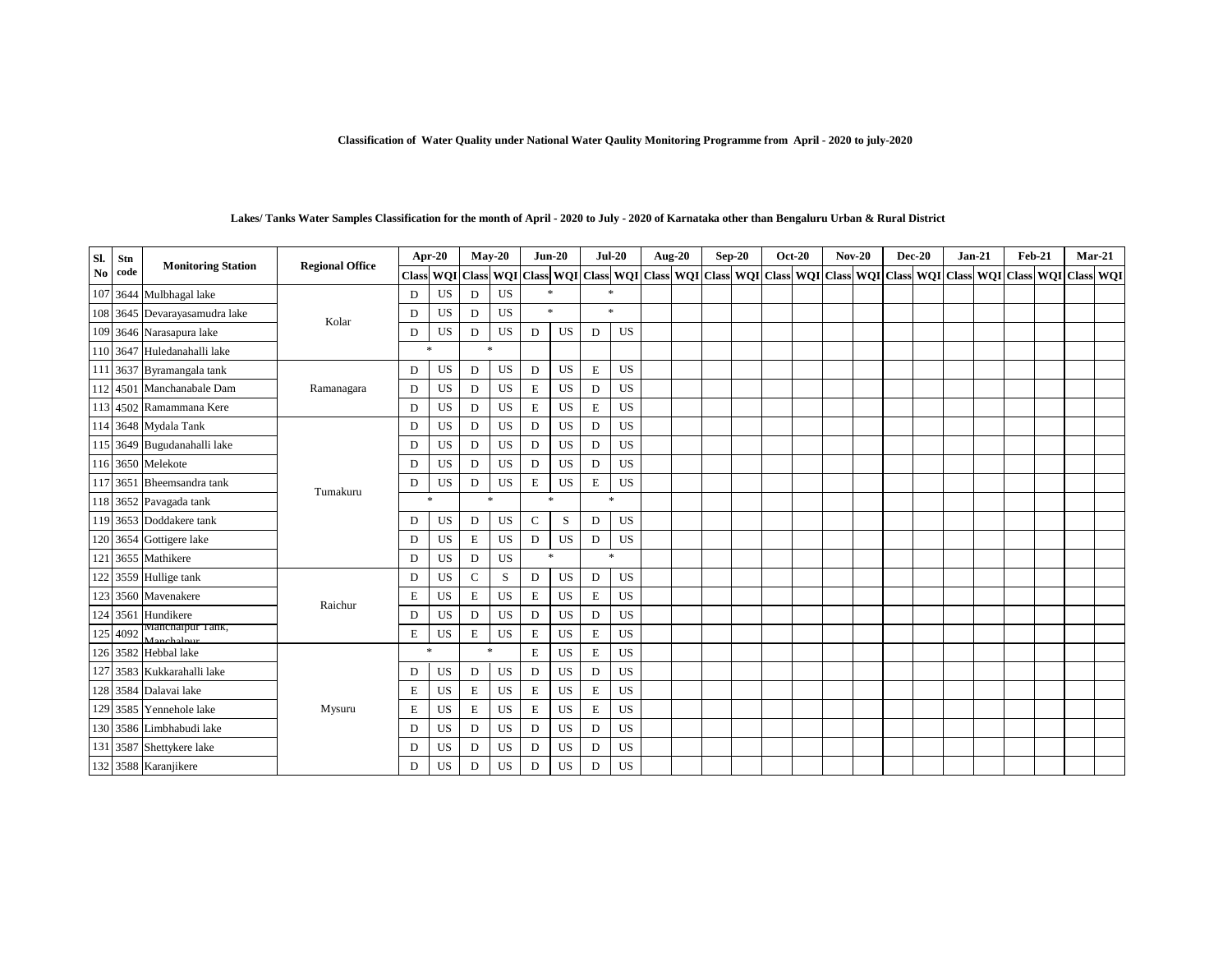| SI. | Stn  |                                |                        |              | Apr-20     |             | $May-20$  | $Jun-20$     |           | $Jul-20$    |           | Aug-20 | $Sep-20$ | <b>Oct-20</b> |  | $Nov-20$ | <b>Dec-20</b> | $Jan-21$ | <b>Feb-21</b>                                                                                                                                                                                                                |  | Mar-21 |
|-----|------|--------------------------------|------------------------|--------------|------------|-------------|-----------|--------------|-----------|-------------|-----------|--------|----------|---------------|--|----------|---------------|----------|------------------------------------------------------------------------------------------------------------------------------------------------------------------------------------------------------------------------------|--|--------|
| No  | code | <b>Monitoring Station</b>      | <b>Regional Office</b> | <b>Class</b> | <b>WQI</b> |             |           |              |           |             |           |        |          |               |  |          |               |          | Class    WQI    Class    WQI    Class    WQI    Class    WQI    Class    WQI    Class    WQI    Class    WQI    Class    WQI    Class    WQI    Class    WQI    Class    WQI    Class    WQI    Class    WQI    Class    WQI |  |        |
| 107 |      | 3644 Mulbhagal lake            |                        | D            | US         | D           | <b>US</b> | $\ast$       |           | ×.          |           |        |          |               |  |          |               |          |                                                                                                                                                                                                                              |  |        |
| 108 |      | 3645 Devarayasamudra lake      |                        | D            | US         | D           | US        | $\ast$       |           |             | *         |        |          |               |  |          |               |          |                                                                                                                                                                                                                              |  |        |
| 109 |      | 3646 Narasapura lake           | Kolar                  | D            | US         | D           | <b>US</b> | D            | US        | D           | US        |        |          |               |  |          |               |          |                                                                                                                                                                                                                              |  |        |
|     |      | 110 3647 Huledanahalli lake    |                        | *            |            | $\ast$      |           |              |           |             |           |        |          |               |  |          |               |          |                                                                                                                                                                                                                              |  |        |
| 111 |      | 3637 Byramangala tank          |                        | D            | US         | D           | US        | D            | US        | E           | <b>US</b> |        |          |               |  |          |               |          |                                                                                                                                                                                                                              |  |        |
| 112 |      | 4501 Manchanabale Dam          | Ramanagara             | D            | US         | D           | <b>US</b> | Ε            | US        | D           | <b>US</b> |        |          |               |  |          |               |          |                                                                                                                                                                                                                              |  |        |
| 113 |      | 4502 Ramammana Kere            |                        | D            | US         | D           | <b>US</b> | Ε            | <b>US</b> | E           | <b>US</b> |        |          |               |  |          |               |          |                                                                                                                                                                                                                              |  |        |
|     |      | 114 3648 Mydala Tank           |                        | D            | US         | D           | US        | D            | US        | ${\rm D}$   | US        |        |          |               |  |          |               |          |                                                                                                                                                                                                                              |  |        |
| 115 |      | 3649 Bugudanahalli lake        |                        | D            | US         | D           | US        | D            | US        | ${\rm D}$   | <b>US</b> |        |          |               |  |          |               |          |                                                                                                                                                                                                                              |  |        |
|     |      | 116 3650 Melekote              |                        | D            | <b>US</b>  | D           | <b>US</b> | D            | US        | D           | <b>US</b> |        |          |               |  |          |               |          |                                                                                                                                                                                                                              |  |        |
|     |      | 117 3651 Bheemsandra tank      | Tumakuru               | D            | US         | D           | US        | Ε            | US        | E           | US        |        |          |               |  |          |               |          |                                                                                                                                                                                                                              |  |        |
|     |      | 118 3652 Pavagada tank         |                        |              | $\ast$     |             | $\ast$    | $\ast$       |           |             | $\ast$    |        |          |               |  |          |               |          |                                                                                                                                                                                                                              |  |        |
| 119 |      | 3653 Doddakere tank            |                        | D            | US         | D           | US        | $\mathsf{C}$ | S         | D           | <b>US</b> |        |          |               |  |          |               |          |                                                                                                                                                                                                                              |  |        |
|     |      | 120 3654 Gottigere lake        |                        | D            | US         | E           | US        | D            | US        | D           | US        |        |          |               |  |          |               |          |                                                                                                                                                                                                                              |  |        |
| 121 |      | 3655 Mathikere                 |                        | D            | US         | D           | US        | $\mathbf{x}$ |           |             | $\ast$    |        |          |               |  |          |               |          |                                                                                                                                                                                                                              |  |        |
| 122 |      | 3559 Hullige tank              |                        | D            | <b>US</b>  | C           | S         | D            | US        | D           | <b>US</b> |        |          |               |  |          |               |          |                                                                                                                                                                                                                              |  |        |
|     |      | 123 3560 Mavenakere            | Raichur                | Ε            | <b>US</b>  | E           | <b>US</b> | Ε            | US        | E           | US        |        |          |               |  |          |               |          |                                                                                                                                                                                                                              |  |        |
| 124 |      | 3561 Hundikere                 |                        | D            | US         | D           | <b>US</b> | D            | US        | ${\rm D}$   | US        |        |          |               |  |          |               |          |                                                                                                                                                                                                                              |  |        |
| 125 | 4092 | Manchalpur Tank,<br>Manchalpur |                        | Ε            | <b>US</b>  | E           | US        | E            | <b>US</b> | $\mathbf E$ | US        |        |          |               |  |          |               |          |                                                                                                                                                                                                                              |  |        |
|     |      | 126 3582 Hebbal lake           |                        | 丛            |            | $\ast$      |           | Е            | <b>US</b> | E           | US        |        |          |               |  |          |               |          |                                                                                                                                                                                                                              |  |        |
| 127 |      | 3583 Kukkarahalli lake         |                        | D            | US         | D           | <b>US</b> | D            | US        | D           | US        |        |          |               |  |          |               |          |                                                                                                                                                                                                                              |  |        |
|     |      | 128 3584 Dalavai lake          |                        | Ε            | US         | E           | US        | E            | <b>US</b> | E           | US        |        |          |               |  |          |               |          |                                                                                                                                                                                                                              |  |        |
| 129 |      | 3585 Yennehole lake            | Mysuru                 | E            | US         | $\mathbf E$ | US        | E            | US        | $\mathbf E$ | US        |        |          |               |  |          |               |          |                                                                                                                                                                                                                              |  |        |
|     |      | 130 3586 Limbhabudi lake       |                        | D            | US         | D           | <b>US</b> | D            | US        | D           | US        |        |          |               |  |          |               |          |                                                                                                                                                                                                                              |  |        |
|     |      | 131 3587 Shettykere lake       |                        | D            | <b>US</b>  | D           | US        | D            | US        | D           | US        |        |          |               |  |          |               |          |                                                                                                                                                                                                                              |  |        |
|     |      | 132 3588 Karanjikere           |                        | D            | <b>US</b>  | D           | US        | D            | US        | D           | US        |        |          |               |  |          |               |          |                                                                                                                                                                                                                              |  |        |

#### **Lakes/ Tanks Water Samples Classification for the month of April - 2020 to July - 2020 of Karnataka other than Bengaluru Urban & Rural District**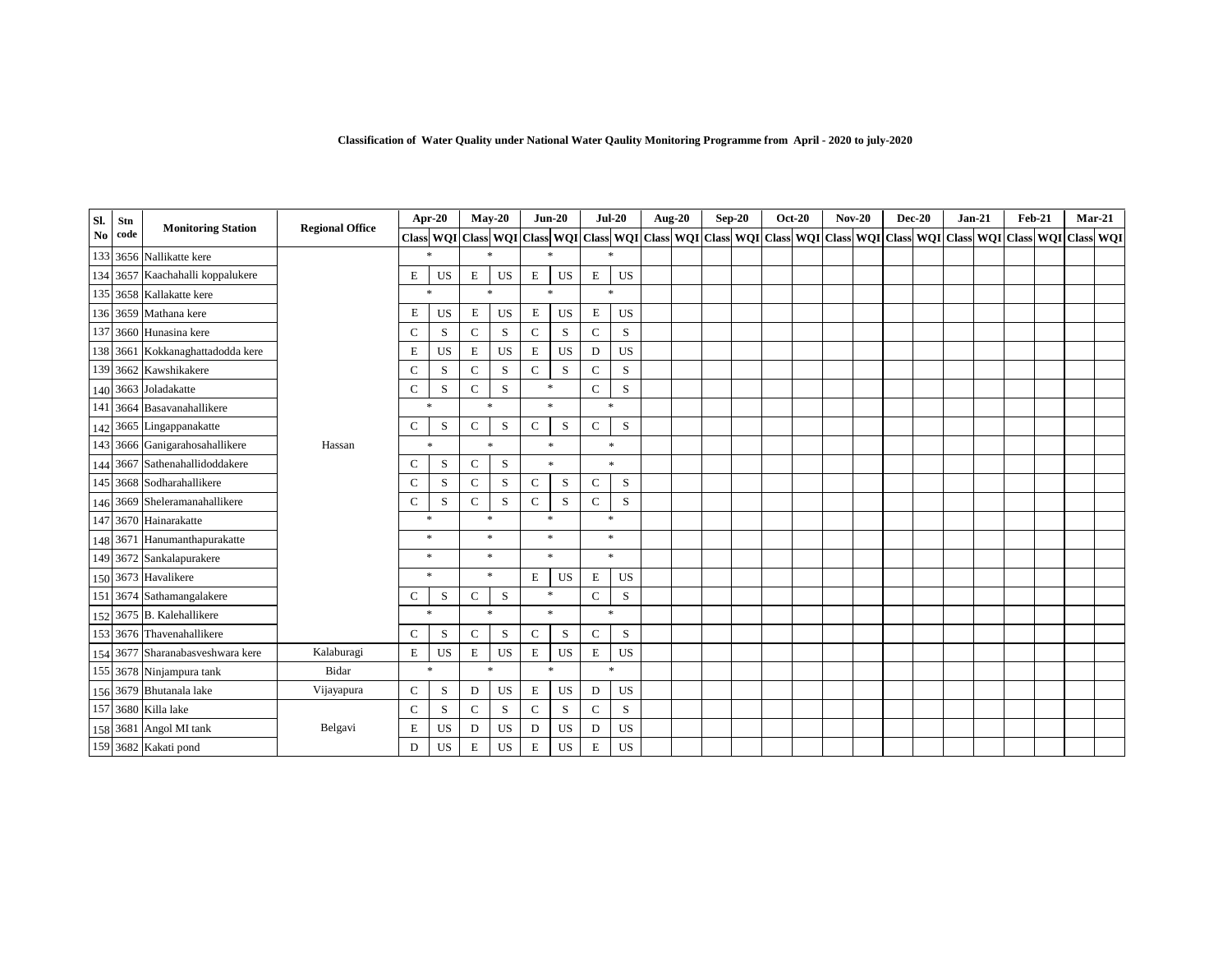| Classification of Water Quality under National Water Qaulity Monitoring Programme from April - 2020 to july-2020 |  |  |  |  |  |  |
|------------------------------------------------------------------------------------------------------------------|--|--|--|--|--|--|
|                                                                                                                  |  |  |  |  |  |  |

| Sl.                    | Stn  | <b>Monitoring Station</b>        | <b>Regional Office</b> |              | Apr-20       |               | $Mav-20$                          |              | $Jun-20$           |              | $Jul-20$           | <b>Aug-20</b> | $Sep-20$ | <b>Oct-20</b> | $Nov-20$ | <b>Dec-20</b>                                                                                                 | $Jan-21$ | $Feb-21$ | $Mar-21$            |  |
|------------------------|------|----------------------------------|------------------------|--------------|--------------|---------------|-----------------------------------|--------------|--------------------|--------------|--------------------|---------------|----------|---------------|----------|---------------------------------------------------------------------------------------------------------------|----------|----------|---------------------|--|
| $\mathbf{N}\mathbf{o}$ | code |                                  |                        |              |              |               |                                   |              |                    |              |                    |               |          |               |          | Class WOI Class WOI Class WOI Class WOI Class WOI Class WOI Class WOI Class WOI Class WOI Class WOI Class WOI |          |          | Class WQI Class WQI |  |
|                        |      | 133 3656 Nallikatte kere         |                        |              | $\mathbf{x}$ |               | $\ast$                            |              | $\ast$             | $\ast$       |                    |               |          |               |          |                                                                                                               |          |          |                     |  |
|                        |      | 134 3657 Kaachahalli koppalukere |                        | E            | US           | E             | US                                | E            | US                 | $\,$ E       | US                 |               |          |               |          |                                                                                                               |          |          |                     |  |
|                        |      | 135 3658 Kallakatte kere         |                        |              | $\ast$       |               | $\frac{d\mathbf{x}}{d\mathbf{x}}$ |              | $\ast$             | $\ast$       |                    |               |          |               |          |                                                                                                               |          |          |                     |  |
|                        |      | 136 3659 Mathana kere            |                        | E            | US           | $\mathbf E$   | <b>US</b>                         | $\mathbf E$  | <b>US</b>          | $\mathbf E$  | <b>US</b>          |               |          |               |          |                                                                                                               |          |          |                     |  |
|                        |      | 137 3660 Hunasina kere           |                        | $\mathsf{C}$ | S            | $\mathcal{C}$ | S                                 | $\mathbf C$  | S                  | $\mathsf{C}$ | S                  |               |          |               |          |                                                                                                               |          |          |                     |  |
|                        |      | 138 3661 Kokkanaghattadodda kere |                        | E            | US           | $\mathbf E$   | <b>US</b>                         | E            | <b>US</b>          | $\mathbf D$  | US                 |               |          |               |          |                                                                                                               |          |          |                     |  |
| 139                    |      | 3662 Kawshikakere                |                        | $\mathsf{C}$ | S            | $\mathsf{C}$  | S                                 | $\mathbf C$  | S                  | $\mathbf C$  | S                  |               |          |               |          |                                                                                                               |          |          |                     |  |
|                        |      | 140 3663 Joladakatte             |                        | $\mathsf{C}$ | S            | $\mathsf{C}$  | S                                 |              | $\ast$             | $\mathbf C$  | S                  |               |          |               |          |                                                                                                               |          |          |                     |  |
|                        |      | 141 3664 Basavanahallikere       |                        |              | *            |               | $\ast$                            |              | $\ast$             | $\ast$       |                    |               |          |               |          |                                                                                                               |          |          |                     |  |
|                        |      | 142 3665 Lingappanakatte         |                        | $\mathsf{C}$ | $\mathbf S$  | $\mathsf C$   | $\mathbf S$                       | $\mathbf C$  | S                  | $\mathbf C$  | $\,$ S             |               |          |               |          |                                                                                                               |          |          |                     |  |
|                        |      | 143 3666 Ganigarahosahallikere   | Hassan                 |              | $\ast$       |               | $\ast$                            |              | $\ast$             | $\ast$       |                    |               |          |               |          |                                                                                                               |          |          |                     |  |
| 144                    |      | 3667 Sathenahallidoddakere       |                        | $\mathsf{C}$ | S            | $\mathsf{C}$  | S                                 |              | $\dot{\mathbf{x}}$ |              | $\dot{\mathbf{x}}$ |               |          |               |          |                                                                                                               |          |          |                     |  |
|                        |      | 145 3668 Sodharahallikere        |                        | $\mathsf{C}$ | S            | $\mathsf{C}$  | S                                 | $\mathsf{C}$ | S                  | $\mathsf{C}$ | S                  |               |          |               |          |                                                                                                               |          |          |                     |  |
|                        |      | 146 3669 Sheleramanahallikere    |                        | $\mathbf C$  | S            | $\mathsf{C}$  | S                                 | $\mathsf{C}$ | S                  | $\mathsf{C}$ | S                  |               |          |               |          |                                                                                                               |          |          |                     |  |
|                        |      | 147 3670 Hainarakatte            |                        |              | $\ast$       |               | $\ast$                            |              | $\ast$             | $\ast$       |                    |               |          |               |          |                                                                                                               |          |          |                     |  |
|                        |      | 148 3671 Hanumanthapurakatte     |                        |              | $\ast$       |               | $\ast$                            |              | $\ast$             | $\ast$       |                    |               |          |               |          |                                                                                                               |          |          |                     |  |
|                        |      | 149 3672 Sankalapurakere         |                        |              | $\ast$       |               | $\ast$                            |              | $\ast$             | $\ast$       |                    |               |          |               |          |                                                                                                               |          |          |                     |  |
|                        |      | 150 3673 Havalikere              |                        |              | $\ast$       |               | $\ast$                            | $\mathbf E$  | <b>US</b>          | $\,$ E       | <b>US</b>          |               |          |               |          |                                                                                                               |          |          |                     |  |
|                        |      | 151 3674 Sathamangalakere        |                        | C            | S            | $\mathsf{C}$  | S                                 |              | $*$                | $\mathbf C$  | S                  |               |          |               |          |                                                                                                               |          |          |                     |  |
|                        |      | 152 3675 B. Kalehallikere        |                        |              | $\ast$       |               | $\ast$                            |              | $\ast$             | $\ast$       |                    |               |          |               |          |                                                                                                               |          |          |                     |  |
|                        |      | 153 3676 Thavenahallikere        |                        | $\mathsf{C}$ | S            | $\mathsf{C}$  | S                                 | $\mathsf{C}$ | S                  | $\mathbf C$  | S                  |               |          |               |          |                                                                                                               |          |          |                     |  |
|                        |      | 154 3677 Sharanabasveshwara kere | Kalaburagi             | Е            | US           | E             | <b>US</b>                         | Е            | <b>US</b>          | $\,$ E       | US                 |               |          |               |          |                                                                                                               |          |          |                     |  |
|                        |      | 155 3678 Ninjampura tank         | Bidar                  |              | $\ast$       |               | $\ast$                            |              | $*$                |              | $\dot{\mathbf{x}}$ |               |          |               |          |                                                                                                               |          |          |                     |  |
|                        |      | 156 3679 Bhutanala lake          | Vijayapura             | ${\bf C}$    | ${\bf S}$    | D             | US                                | E            | US                 | D            | US                 |               |          |               |          |                                                                                                               |          |          |                     |  |
|                        |      | 157 3680 Killa lake              |                        | ${\bf C}$    | ${\bf S}$    | $\mathcal{C}$ | S                                 | $\mathbf C$  | S                  | $\mathbf C$  | S                  |               |          |               |          |                                                                                                               |          |          |                     |  |
|                        |      | 158 3681 Angol MI tank           | Belgavi                | $\mathbf E$  | US           | D             | US                                | D            | US                 | D            | US                 |               |          |               |          |                                                                                                               |          |          |                     |  |
|                        |      | 159 3682 Kakati pond             |                        | D            | US           | E             | US                                | E            | US                 | $\mathbf E$  | US                 |               |          |               |          |                                                                                                               |          |          |                     |  |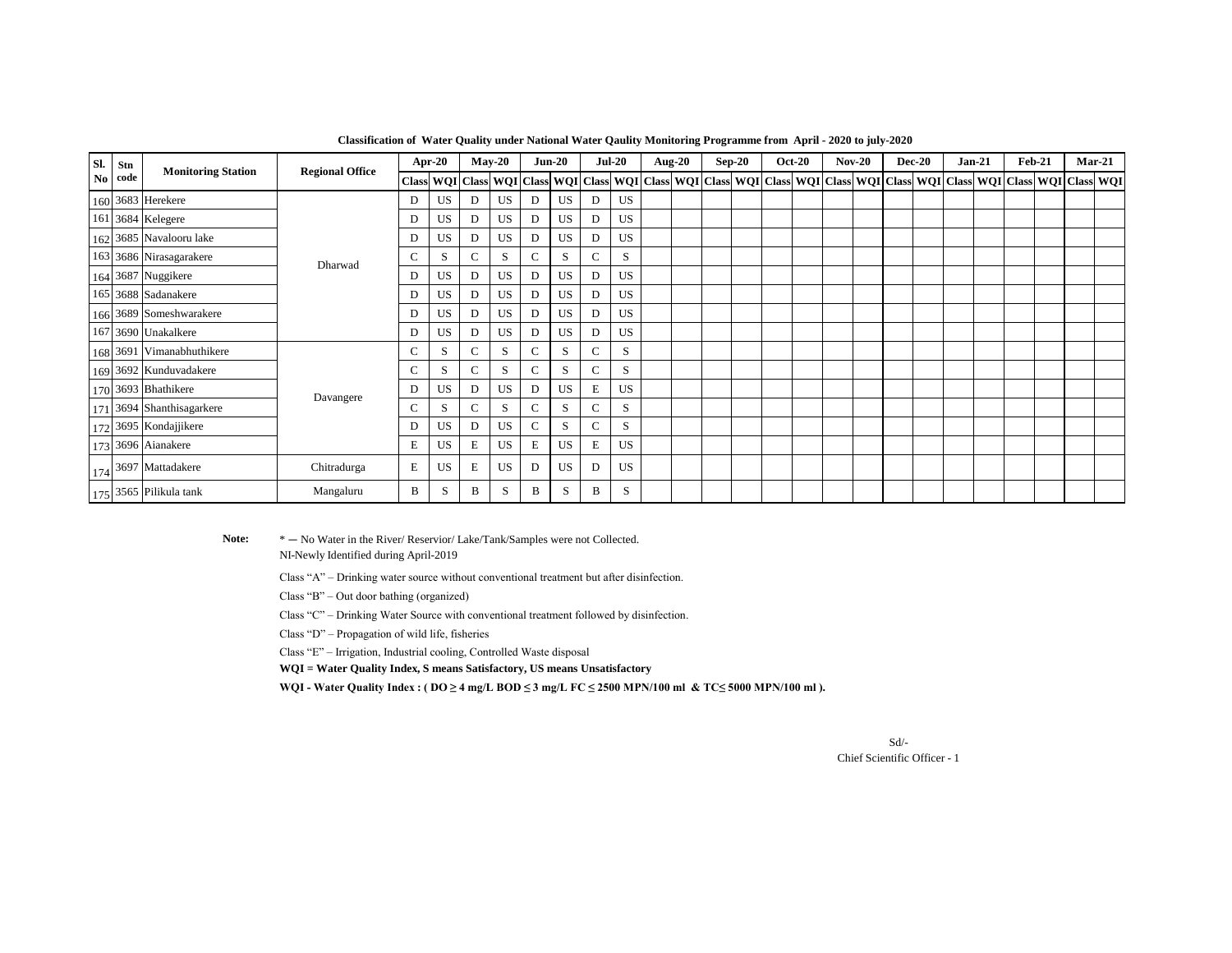| Sl. | Stn<br>No code | <b>Monitoring Station</b>              | <b>Regional Office</b> | Apr-20       |              | $May-20$ |                               | $Jun-20$     |           | <b>Jul-20</b> |           | Aug- $20$ |  | $Sep-20$ |  | <b>Oct-20</b> |  | $Nov-20$ |  | <b>Dec-20</b> |  | $Jan-21$ |  | <b>Feb-21</b> |                                                                                                                                     | Mar-21 |  |
|-----|----------------|----------------------------------------|------------------------|--------------|--------------|----------|-------------------------------|--------------|-----------|---------------|-----------|-----------|--|----------|--|---------------|--|----------|--|---------------|--|----------|--|---------------|-------------------------------------------------------------------------------------------------------------------------------------|--------|--|
|     |                |                                        |                        |              |              |          | Class WQI Class WQI Class WQI |              |           |               |           |           |  |          |  |               |  |          |  |               |  |          |  |               | Class   WQI   Class   WQI   Class   WQI   Class   WQI   Class   WQI   Class   WQI   Class   WQI   Class   WQI   Class   WQI   Class |        |  |
|     |                | 160 3683 Herekere                      | Dharwad                | D            | <b>US</b>    | D        | US                            | D            | US        | D             | <b>US</b> |           |  |          |  |               |  |          |  |               |  |          |  |               |                                                                                                                                     |        |  |
|     |                | 161 3684 Kelegere                      |                        | D            | US           | D        | US                            | D            | <b>US</b> | D             | <b>US</b> |           |  |          |  |               |  |          |  |               |  |          |  |               |                                                                                                                                     |        |  |
|     |                | 162 3685 Navalooru lake                |                        | D            | US           | D        | US                            | D            | US        | D             | US        |           |  |          |  |               |  |          |  |               |  |          |  |               |                                                                                                                                     |        |  |
|     |                | 163 3686 Nirasagarakere                |                        | С            | <sub>S</sub> | C        | S                             | C            | S         | C             | S         |           |  |          |  |               |  |          |  |               |  |          |  |               |                                                                                                                                     |        |  |
|     |                | 164 3687 Nuggikere                     |                        | D            | US           | D        | US                            | D            | US        | D             | US        |           |  |          |  |               |  |          |  |               |  |          |  |               |                                                                                                                                     |        |  |
|     |                | 165 3688 Sadanakere                    |                        | D            | US           | D        | US                            | D            | US        | D             | <b>US</b> |           |  |          |  |               |  |          |  |               |  |          |  |               |                                                                                                                                     |        |  |
|     |                | 166 3689 Someshwarakere                |                        | D            | US           | D        | US                            | D            | US        | D             | <b>US</b> |           |  |          |  |               |  |          |  |               |  |          |  |               |                                                                                                                                     |        |  |
|     |                | 167 3690 Unakalkere                    |                        | D            | US           | D        | US                            | D            | US        | D             | US        |           |  |          |  |               |  |          |  |               |  |          |  |               |                                                                                                                                     |        |  |
|     |                | 168 3691 Vimanabhuthikere              |                        | $\mathsf{C}$ | S            | C.       | S                             | $\mathbf C$  | S         | C             | S         |           |  |          |  |               |  |          |  |               |  |          |  |               |                                                                                                                                     |        |  |
|     |                | 169 3692 Kunduvadakere                 |                        | C            | <sub>S</sub> | С        | S                             | $\mathbf C$  | S         | C             | S         |           |  |          |  |               |  |          |  |               |  |          |  |               |                                                                                                                                     |        |  |
|     |                | 170 3693 Bhathikere                    | Davangere              | D            | US           | D        | US                            | D            | US        | Е             | US        |           |  |          |  |               |  |          |  |               |  |          |  |               |                                                                                                                                     |        |  |
|     |                | 171 3694 Shanthisagarkere              |                        | C            | <sub>S</sub> | С        | S                             | $\mathbf C$  | S         | C             | S         |           |  |          |  |               |  |          |  |               |  |          |  |               |                                                                                                                                     |        |  |
|     |                | 172 3695 Kondajjikere                  |                        | D            | US           | D        | US                            | $\mathsf{C}$ | S         | C             | S         |           |  |          |  |               |  |          |  |               |  |          |  |               |                                                                                                                                     |        |  |
|     |                | 173 3696 Aianakere                     |                        | E            | US           | Е        | <b>US</b>                     | E            | US        | Е             | US        |           |  |          |  |               |  |          |  |               |  |          |  |               |                                                                                                                                     |        |  |
|     |                | $174$ 3697 Mattadakere                 | Chitradurga            | E            | US           | E        | <b>US</b>                     | D            | <b>US</b> | D             | <b>US</b> |           |  |          |  |               |  |          |  |               |  |          |  |               |                                                                                                                                     |        |  |
|     |                | 175 $\vert$ 3565 $\vert$ Pilikula tank | Mangaluru              | B            | S            | B        | S                             | B            | S         | B             | S         |           |  |          |  |               |  |          |  |               |  |          |  |               |                                                                                                                                     |        |  |

**Classification of Water Quality under National Water Qaulity Monitoring Programme from April - 2020 to july-2020**

#### Note:  $* - N_0$  Water in the River/ Reservior/ Lake/Tank/Samples were not Collected.

NI-Newly Identified during April-2019

Class "A" – Drinking water source without conventional treatment but after disinfection.

Class "B" – Out door bathing (organized)

Class "C" – Drinking Water Source with conventional treatment followed by disinfection.

Class "D" – Propagation of wild life, fisheries

Class "E" – Irrigation, Industrial cooling, Controlled Waste disposal

**WQI = Water Quality Index, S means Satisfactory, US means Unsatisfactory**

WQI - Water Quality Index : (  $DO ≥ 4$  mg/L BOD ≤ 3 mg/L FC ≤ 2500 MPN/100 ml & TC≤ 5000 MPN/100 ml ).

Chief Scientific Officer - 1 Sd/-